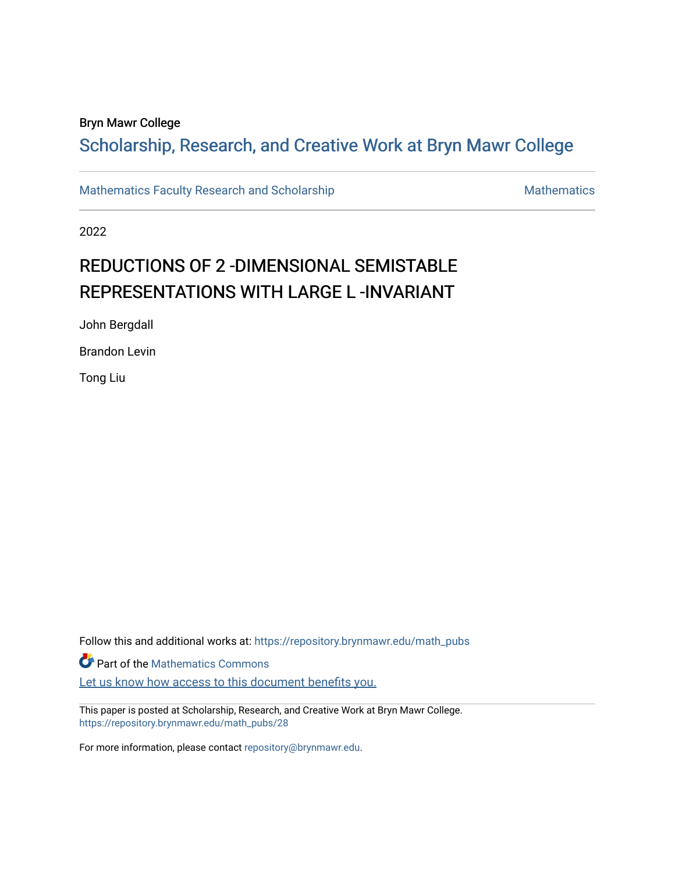## Bryn Mawr College

## Scholarship, Research, and Creative Work at Bryn Mawr College

[Mathematics Faculty Research and Scholarship](https://repository.brynmawr.edu/math_pubs) [Mathematics](https://repository.brynmawr.edu/mathematics) Mathematics

2022

# REDUCTIONS OF 2 -DIMENSIONAL SEMISTABLE REPRESENTATIONS WITH LARGE L-INVARIANT

John Bergdall

Brandon Levin

Tong Liu

Follow this and additional works at: [https://repository.brynmawr.edu/math\\_pubs](https://repository.brynmawr.edu/math_pubs?utm_source=repository.brynmawr.edu%2Fmath_pubs%2F28&utm_medium=PDF&utm_campaign=PDFCoverPages) **Part of the [Mathematics Commons](http://network.bepress.com/hgg/discipline/174?utm_source=repository.brynmawr.edu%2Fmath_pubs%2F28&utm_medium=PDF&utm_campaign=PDFCoverPages)** Let us know how access to this document benefits you.

This paper is posted at Scholarship, Research, and Creative Work at Bryn Mawr College. [https://repository.brynmawr.edu/math\\_pubs/28](https://repository.brynmawr.edu/math_pubs/28) 

For more information, please contact [repository@brynmawr.edu.](mailto:repository@brynmawr.edu)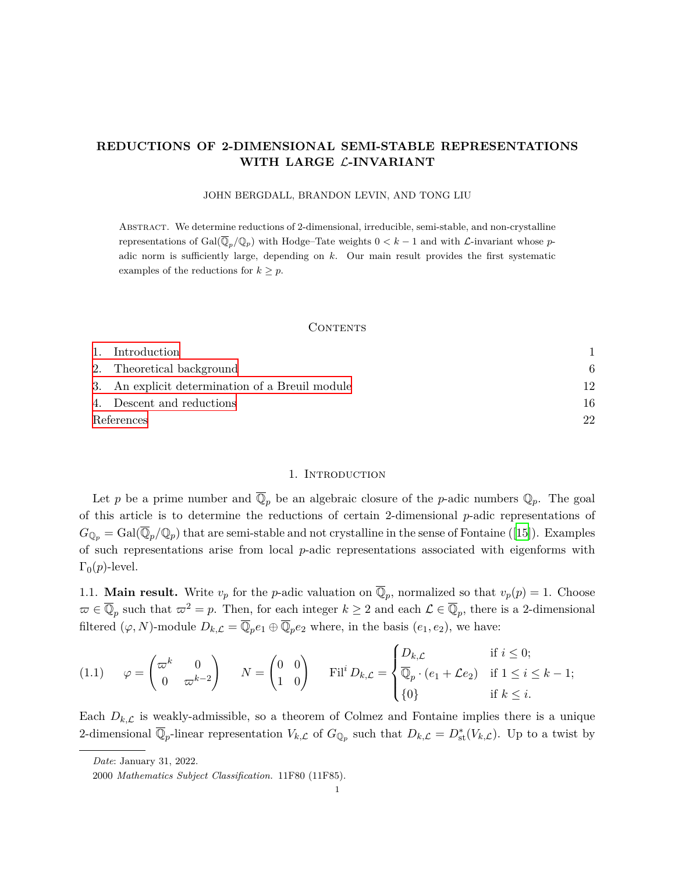## **REDUCTIONS OF 2-DIMENSIONAL SEMI-STABLE REPRESENTATIONS WITH LARGE** *L***-INVARIANT**

JOHN BERGDALL, BRANDON LEVIN, AND TONG LIU

Abstract. We determine reductions of 2-dimensional, irreducible, semi-stable, and non-crystalline representations of Gal $(\overline{\mathbb{Q}}_p/\mathbb{Q}_p)$  with Hodge–Tate weights  $0 < k-1$  and with *L*-invariant whose *p*adic norm is sufficiently large, depending on *k*. Our main result provides the first systematic examples of the reductions for  $k \geq p$ .

#### **CONTENTS**

|            | 1. Introduction                                 |    |
|------------|-------------------------------------------------|----|
|            | 2. Theoretical background                       | 6  |
|            | 3. An explicit determination of a Breuil module | 12 |
|            | 4. Descent and reductions                       | 16 |
| References |                                                 | 22 |

#### 1. INTRODUCTION

<span id="page-1-0"></span>Let *p* be a prime number and  $\mathbb{Q}_p$  be an algebraic closure of the *p*-adic numbers  $\mathbb{Q}_p$ . The goal of this article is to determine the reductions of certain 2-dimensional *p*-adic representations of  $G_{\mathbb{Q}_p} = \text{Gal}(\overline{\mathbb{Q}}_p/\mathbb{Q}_p)$  that are semi-stable and not crystalline in the sense of Fontaine ([\[15](#page-23-0)]). Examples of such representations arise from local *p*-adic representations associated with eigenforms with  $\Gamma_0(p)$ -level.

1.1. **Main result.** Write  $v_p$  for the *p*-adic valuation on  $\overline{\mathbb{Q}}_p$ , normalized so that  $v_p(p) = 1$ . Choose  $\varpi \in \overline{\mathbb{Q}}_p$  such that  $\varpi^2 = p$ . Then, for each integer  $k \geq 2$  and each  $\mathcal{L} \in \overline{\mathbb{Q}}_p$ , there is a 2-dimensional filtered  $(\varphi, N)$ -module  $D_{k,\mathcal{L}} = \overline{\mathbb{Q}}_p e_1 \oplus \overline{\mathbb{Q}}_p e_2$  where, in the basis  $(e_1, e_2)$ , we have:

$$
(1.1) \qquad \varphi = \begin{pmatrix} \n\varpi^k & 0 \\ 0 & \varpi^{k-2} \end{pmatrix} \qquad N = \begin{pmatrix} 0 & 0 \\ 1 & 0 \end{pmatrix} \qquad \text{Fil}^i D_{k,\mathcal{L}} = \begin{cases} \nD_{k,\mathcal{L}} & \text{if } i \leq 0; \\ \n\overline{\mathbb{Q}}_p \cdot (e_1 + \mathcal{L}e_2) & \text{if } 1 \leq i \leq k-1; \\ \n\{0\} & \text{if } k \leq i. \n\end{cases}
$$

<span id="page-1-1"></span>Each  $D_{k,\mathcal{L}}$  is weakly-admissible, so a theorem of Colmez and Fontaine implies there is a unique 2-dimensional  $\overline{\mathbb{Q}}_p$ -linear representation  $V_{k,\mathcal{L}}$  of  $G_{\mathbb{Q}_p}$  such that  $D_{k,\mathcal{L}} = D^*_{st}(V_{k,\mathcal{L}})$ . Up to a twist by

*Date*: January 31, 2022.

<sup>2000</sup> *Mathematics Subject Classification.* 11F80 (11F85).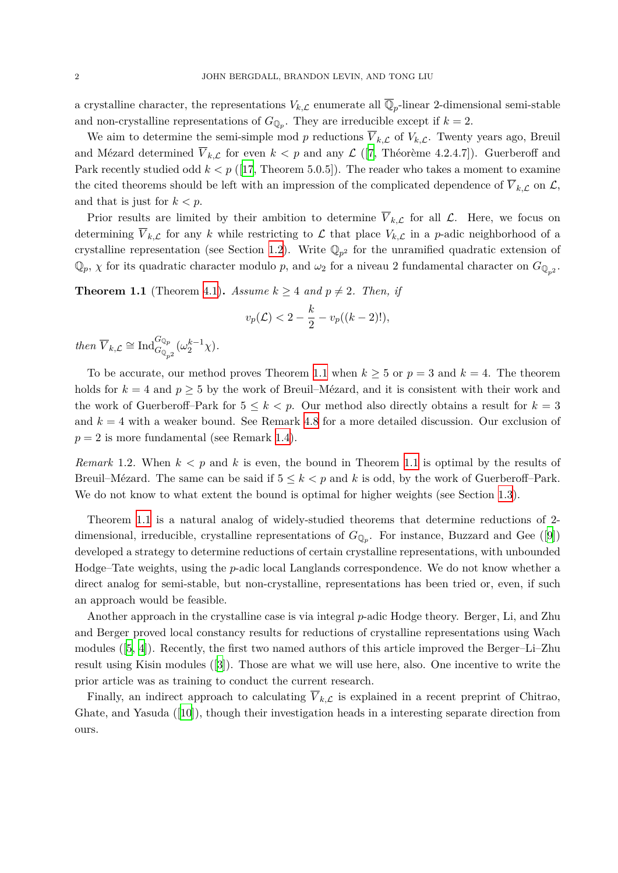a crystalline character, the representations  $V_{k,\mathcal{L}}$  enumerate all  $\mathbb{Q}_p$ -linear 2-dimensional semi-stable and non-crystalline representations of  $G_{\mathbb{Q}_p}$ . They are irreducible except if  $k=2$ .

We aim to determine the semi-simple mod p reductions  $\overline{V}_{k,\mathcal{L}}$  of  $V_{k,\mathcal{L}}$ . Twenty years ago, Breuil and Mézard determined  $\overline{V}_{k,\mathcal{L}}$  for even  $k < p$  and any  $\mathcal{L}$  ([[7](#page-22-1), Théorème 4.2.4.7]). Guerberoff and Park recently studied odd  $k < p$  ([\[17](#page-23-1), Theorem 5.0.5]). The reader who takes a moment to examine the cited theorems should be left with an impression of the complicated dependence of  $\overline{V}_{k,\mathcal{L}}$  on  $\mathcal{L}$ , and that is just for *k < p*.

Prior results are limited by their ambition to determine  $\overline{V}_{k,\mathcal{L}}$  for all  $\mathcal{L}$ . Here, we focus on determining  $\overline{V}_{k,\mathcal{L}}$  for any *k* while restricting to  $\mathcal{L}$  that place  $V_{k,\mathcal{L}}$  in a *p*-adic neighborhood of a crystalline representation (see Section [1.2\)](#page-3-0). Write  $\mathbb{Q}_{p^2}$  for the unramified quadratic extension of  $\mathbb{Q}_p$ ,  $\chi$  for its quadratic character modulo *p*, and  $\omega_2$  for a niveau 2 fundamental character on  $G_{\mathbb{Q}_{p^2}}$ .

<span id="page-2-0"></span>**Theorem 1.1** (Theorem [4.1\)](#page-16-1). *Assume*  $k \geq 4$  *and*  $p \neq 2$ *. Then, if* 

$$
v_p(\mathcal{L}) < 2 - \frac{k}{2} - v_p((k-2)!),
$$

*then*  $\overline{V}_{k,\mathcal{L}} \cong \text{Ind}_{G_{\mathbb{Q}_{p^2}}}^{G_{\mathbb{Q}_p}}(\omega_2^{k-1}\chi)$ *.* 

To be accurate, our method proves Theorem [1.1](#page-2-0) when  $k \geq 5$  or  $p = 3$  and  $k = 4$ . The theorem holds for  $k = 4$  and  $p \geq 5$  by the work of Breuil–Mézard, and it is consistent with their work and the work of Guerberoff–Park for  $5 \leq k \leq p$ . Our method also directly obtains a result for  $k = 3$ and *k* = 4 with a weaker bound. See Remark [4.8](#page-22-2) for a more detailed discussion. Our exclusion of  $p = 2$  is more fundamental (see Remark [1.4](#page-4-0)).

*Remark* 1.2*.* When *k < p* and *k* is even, the bound in Theorem [1.1](#page-2-0) is optimal by the results of Breuil–Mézard. The same can be said if  $5 \leq k < p$  and k is odd, by the work of Guerberoff–Park. We do not know to what extent the bound is optimal for higher weights (see Section [1.3](#page-4-1)).

Theorem [1.1](#page-2-0) is a natural analog of widely-studied theorems that determine reductions of 2 dimensional, irreducible, crystalline representations of  $G_{\mathbb{Q}_p}$ . For instance, Buzzard and Gee ([\[9\]](#page-22-3)) developed a strategy to determine reductions of certain crystalline representations, with unbounded Hodge–Tate weights, using the *p*-adic local Langlands correspondence. We do not know whether a direct analog for semi-stable, but non-crystalline, representations has been tried or, even, if such an approach would be feasible.

Another approach in the crystalline case is via integral *p*-adic Hodge theory. Berger, Li, and Zhu and Berger proved local constancy results for reductions of crystalline representations using Wach modules ([[5](#page-22-4), [4](#page-22-5)]). Recently, the first two named authors of this article improved the Berger–Li–Zhu result using Kisin modules ([\[3\]](#page-22-6)). Those are what we will use here, also. One incentive to write the prior article was as training to conduct the current research.

Finally, an indirect approach to calculating  $\overline{V}_{k,\mathcal{L}}$  is explained in a recent preprint of Chitrao, Ghate, and Yasuda ([[10\]](#page-23-2)), though their investigation heads in a interesting separate direction from ours.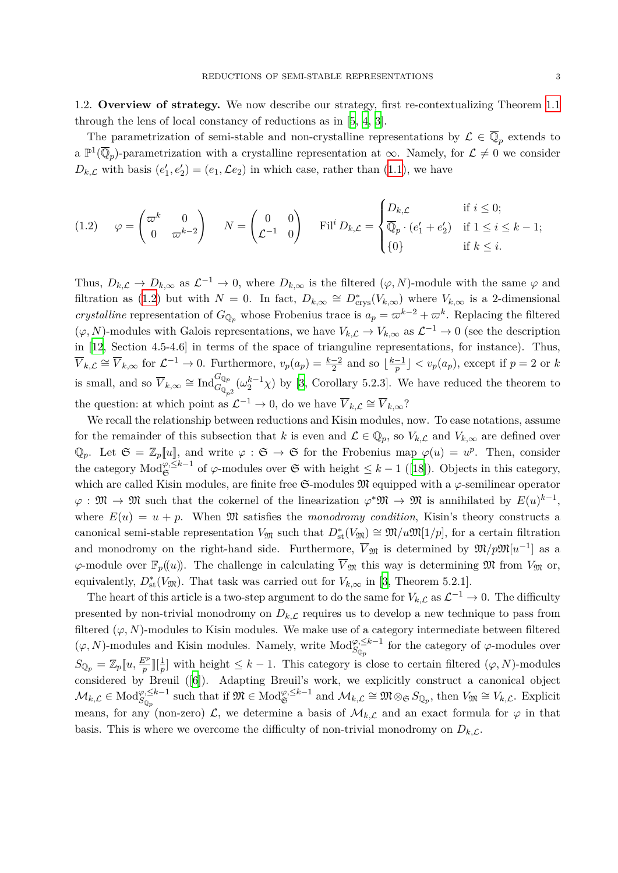<span id="page-3-0"></span>1.2. **Overview of strategy.** We now describe our strategy, first re-contextualizing Theorem [1.1](#page-2-0) through the lens of local constancy of reductions as in [\[5,](#page-22-4) [4,](#page-22-5) [3\]](#page-22-6).

The parametrization of semi-stable and non-crystalline representations by  $\mathcal{L} \in \overline{\mathbb{Q}}_p$  extends to a  $\mathbb{P}^1(\overline{\mathbb{Q}}_p)$ -parametrization with a crystalline representation at  $\infty$ . Namely, for  $\mathcal{L} \neq 0$  we consider  $D_{k,\mathcal{L}}$  with basis  $(e'_{1}, e'_{2}) = (e_{1}, \mathcal{L}e_{2})$  in which case, rather than ([1.1\)](#page-1-1), we have

<span id="page-3-1"></span>
$$
(1.2) \quad \varphi = \begin{pmatrix} \n\varpi^k & 0 \\ \n0 & \varpi^{k-2} \n\end{pmatrix} \quad N = \begin{pmatrix} 0 & 0 \\ \n\mathcal{L}^{-1} & 0 \n\end{pmatrix} \quad \text{Fil}^i D_{k,\mathcal{L}} = \begin{cases} \nD_{k,\mathcal{L}} & \text{if } i \leq 0; \\ \n\overline{\mathbb{Q}}_p \cdot (e_1' + e_2') & \text{if } 1 \leq i \leq k-1; \\ \n\{0\} & \text{if } k \leq i. \n\end{cases}
$$

Thus,  $D_{k,\mathcal{L}} \to D_{k,\infty}$  as  $\mathcal{L}^{-1} \to 0$ , where  $D_{k,\infty}$  is the filtered  $(\varphi, N)$ -module with the same  $\varphi$  and filtration as [\(1.2\)](#page-3-1) but with  $N = 0$ . In fact,  $D_{k,\infty} \cong D^*_{\text{crys}}(V_{k,\infty})$  where  $V_{k,\infty}$  is a 2-dimensional *crystalline* representation of  $G_{\mathbb{Q}_p}$  whose Frobenius trace is  $a_p = \varpi^{k-2} + \varpi^k$ . Replacing the filtered  $(\varphi, N)$ -modules with Galois representations, we have  $V_{k,\mathcal{L}} \to V_{k,\infty}$  as  $\mathcal{L}^{-1} \to 0$  (see the description in [[12,](#page-23-3) Section 4.5-4.6] in terms of the space of trianguline representations, for instance). Thus,  $\overline{V}_{k,\mathcal{L}} \cong \overline{V}_{k,\infty}$  for  $\mathcal{L}^{-1} \to 0$ . Furthermore,  $v_p(a_p) = \frac{k-2}{2}$  and so  $\lfloor \frac{k-1}{p} \rfloor < v_p(a_p)$ , except if  $p = 2$  or k is small, and so  $\overline{V}_{k,\infty} \cong \text{Ind}_{G_{\mathbb{Q}_{p^2}}}^{G_{\mathbb{Q}_p}}(\omega_2^{k-1}\chi)$  by [\[3](#page-22-6), Corollary 5.2.3]. We have reduced the theorem to the question: at which point as  $\mathcal{L}^{-1} \to 0$ , do we have  $\overline{V}_{k,\mathcal{L}} \cong \overline{V}_{k,\infty}$ ?

We recall the relationship between reductions and Kisin modules, now. To ease notations, assume for the remainder of this subsection that *k* is even and  $\mathcal{L} \in \mathbb{Q}_p$ , so  $V_{k,\mathcal{L}}$  and  $V_{k,\infty}$  are defined over  $\mathbb{Q}_p$ . Let  $\mathfrak{S} = \mathbb{Z}_p[[u]]$ , and write  $\varphi : \mathfrak{S} \to \mathfrak{S}$  for the Frobenius map  $\varphi(u) = u^p$ . Then, consider the category  $\text{Mod}_{\mathfrak{S}}^{\varphi, \leq k-1}$  of  $\varphi$ -modules over  $\mathfrak{S}$  with height  $\leq k-1$  ([\[18](#page-23-4)]). Objects in this category, which are called Kisin modules, are finite free S-modules M equipped with a *φ*-semilinear operator  $\varphi : \mathfrak{M} \to \mathfrak{M}$  such that the cokernel of the linearization  $\varphi^* \mathfrak{M} \to \mathfrak{M}$  is annihilated by  $E(u)^{k-1}$ , where  $E(u) = u + p$ . When M satisfies the *monodromy condition*, Kisin's theory constructs a canonical semi-stable representation  $V_{\mathfrak{M}}$  such that  $D^*_{st}(V_{\mathfrak{M}}) \cong \mathfrak{M}/u\mathfrak{M}[1/p]$ , for a certain filtration and monodromy on the right-hand side. Furthermore,  $\overline{V}_{\mathfrak{M}}$  is determined by  $\mathfrak{M}/p\mathfrak{M}[u^{-1}]$  as a *φ*-module over  $\mathbb{F}_p((u))$ . The challenge in calculating  $\overline{V}_{\mathfrak{M}}$  this way is determining  $\mathfrak{M}$  from  $V_{\mathfrak{M}}$  or, equivalently,  $D_{\text{st}}^*(V_{\mathfrak{M}})$ . That task was carried out for  $V_{k,\infty}$  in [\[3,](#page-22-6) Theorem 5.2.1].

The heart of this article is a two-step argument to do the same for  $V_{k,\mathcal{L}}$  as  $\mathcal{L}^{-1} \to 0$ . The difficulty presented by non-trivial monodromy on  $D_{k,\mathcal{L}}$  requires us to develop a new technique to pass from filtered  $(\varphi, N)$ -modules to Kisin modules. We make use of a category intermediate between filtered  $(\varphi, N)$ -modules and Kisin modules. Namely, write  $Mod_{S_{\mathbb{Q}_p}}^{\varphi, \leq k-1}$  for the category of  $\varphi$ -modules over  $S_{\mathbb{Q}_p} = \mathbb{Z}_p[\![u, \frac{E^p}{p}]\!] [\frac{1}{p}]$  with height  $\leq k-1$ . This category is close to certain filtered  $(\varphi, N)$ -modules considered by Breuil ([[6\]](#page-22-7)). Adapting Breuil's work, we explicitly construct a canonical object  $\mathcal{M}_{k,\mathcal{L}} \in \text{Mod}_{S_{\mathbb{Q}_p}}^{\varphi,\leq k-1}$  such that if  $\mathfrak{M} \in \text{Mod}_{\mathfrak{S}}^{\varphi,\leq k-1}$  and  $\mathcal{M}_{k,\mathcal{L}} \cong \mathfrak{M} \otimes_{\mathfrak{S}} S_{\mathbb{Q}_p}$ , then  $V_{\mathfrak{M}} \cong V_{k,\mathcal{L}}$ . Explicit means, for any (non-zero)  $\mathcal{L}$ , we determine a basis of  $\mathcal{M}_{k,\mathcal{L}}$  and an exact formula for  $\varphi$  in that basis. This is where we overcome the difficulty of non-trivial monodromy on  $D_{k,\mathcal{L}}$ .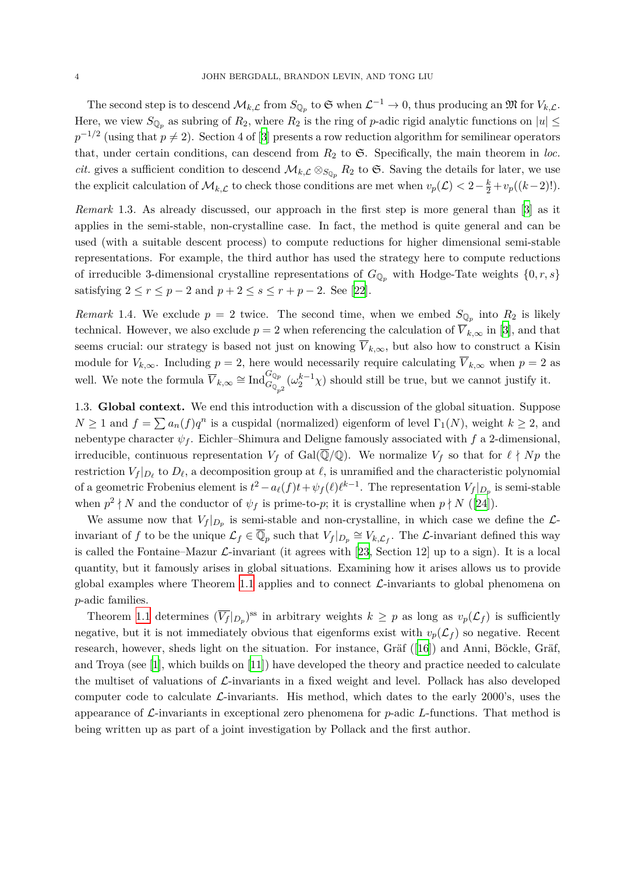The second step is to descend  $\mathcal{M}_{k,\mathcal{L}}$  from  $S_{\mathbb{Q}_p}$  to  $\mathfrak{S}$  when  $\mathcal{L}^{-1} \to 0$ , thus producing an  $\mathfrak{M}$  for  $V_{k,\mathcal{L}}$ . Here, we view  $S_{\mathbb{Q}_p}$  as subring of  $R_2$ , where  $R_2$  is the ring of *p*-adic rigid analytic functions on  $|u| \leq$  $p^{-1/2}$  (using that  $p \neq 2$ ). Section 4 of [[3](#page-22-6)] presents a row reduction algorithm for semilinear operators that, under certain conditions, can descend from  $R_2$  to  $\mathfrak{S}$ . Specifically, the main theorem in *loc. cit.* gives a sufficient condition to descend  $\mathcal{M}_{k,\mathcal{L}} \otimes_{S_{\mathbb{Q}_p}} R_2$  to  $\mathfrak{S}$ . Saving the details for later, we use the explicit calculation of  $\mathcal{M}_{k,\mathcal{L}}$  to check those conditions are met when  $v_p(\mathcal{L}) < 2 - \frac{k}{2} + v_p((k-2)!)$ .

*Remark* 1.3*.* As already discussed, our approach in the first step is more general than [[3](#page-22-6)] as it applies in the semi-stable, non-crystalline case. In fact, the method is quite general and can be used (with a suitable descent process) to compute reductions for higher dimensional semi-stable representations. For example, the third author has used the strategy here to compute reductions of irreducible 3-dimensional crystalline representations of  $G_{\mathbb{Q}_p}$  with Hodge-Tate weights  $\{0, r, s\}$ satisfying  $2 \le r \le p - 2$  and  $p + 2 \le s \le r + p - 2$ . See [\[22](#page-23-5)].

<span id="page-4-0"></span>*Remark* 1.4. We exclude  $p = 2$  twice. The second time, when we embed  $S_{\mathbb{Q}_p}$  into  $R_2$  is likely technical. However, we also exclude  $p = 2$  when referencing the calculation of  $\overline{V}_{k,\infty}$  in [\[3\]](#page-22-6), and that seems crucial: our strategy is based not just on knowing  $\overline{V}_{k,\infty}$ , but also how to construct a Kisin module for  $V_{k,\infty}$ . Including  $p = 2$ , here would necessarily require calculating  $\overline{V}_{k,\infty}$  when  $p = 2$  as well. We note the formula  $\overline{V}_{k,\infty} \cong \text{Ind}_{G_{\mathbb{Q}_{p^2}}}^{G_{\mathbb{Q}_p}}(\omega_2^{k-1}\chi)$  should still be true, but we cannot justify it.

<span id="page-4-1"></span>1.3. **Global context.** We end this introduction with a discussion of the global situation. Suppose  $N \geq 1$  and  $f = \sum a_n(f)q^n$  is a cuspidal (normalized) eigenform of level  $\Gamma_1(N)$ , weight  $k \geq 2$ , and nebentype character  $\psi_f$ . Eichler–Shimura and Deligne famously associated with  $f$  a 2-dimensional, irreducible, continuous representation  $V_f$  of Gal( $\overline{\mathbb{Q}}/\mathbb{Q}$ ). We normalize  $V_f$  so that for  $\ell \nmid Np$  the restriction  $V_f|_{D_\ell}$  to  $D_\ell$ , a decomposition group at  $\ell$ , is unramified and the characteristic polynomial of a geometric Frobenius element is  $t^2 - a_{\ell}(f)t + \psi_f(\ell)\ell^{k-1}$ . The representation  $V_f|_{D_p}$  is semi-stable when  $p^2 \nmid N$  and the conductor of  $\psi_f$  is prime-to-*p*; it is crystalline when  $p \nmid N$  ([[24\]](#page-23-6)).

We assume now that  $V_f|_{D_p}$  is semi-stable and non-crystalline, in which case we define the  $\mathcal{L}$ invariant of *f* to be the unique  $\mathcal{L}_f \in \overline{\mathbb{Q}}_p$  such that  $V_f|_{D_p} \cong V_{k,\mathcal{L}_f}$ . The  $\mathcal{L}$ -invariant defined this way is called the Fontaine–Mazur *L*-invariant (it agrees with [[23,](#page-23-7) Section 12] up to a sign). It is a local quantity, but it famously arises in global situations. Examining how it arises allows us to provide global examples where Theorem [1.1](#page-2-0) applies and to connect *L*-invariants to global phenomena on *p*-adic families.

Theorem [1.1](#page-2-0) determines  $(\overline{V_f}|_{D_p})^{ss}$  in arbitrary weights  $k \geq p$  as long as  $v_p(\mathcal{L}_f)$  is sufficiently negative, but it is not immediately obvious that eigenforms exist with  $v_p(\mathcal{L}_f)$  so negative. Recent research, however, sheds light on the situation. For instance, Gräf ([\[16](#page-23-8)]) and Anni, Böckle, Gräf, and Troya (see [\[1\]](#page-22-8), which builds on [\[11](#page-23-9)]) have developed the theory and practice needed to calculate the multiset of valuations of *L*-invariants in a fixed weight and level. Pollack has also developed computer code to calculate *L*-invariants. His method, which dates to the early 2000's, uses the appearance of *L*-invariants in exceptional zero phenomena for *p*-adic *L*-functions. That method is being written up as part of a joint investigation by Pollack and the first author.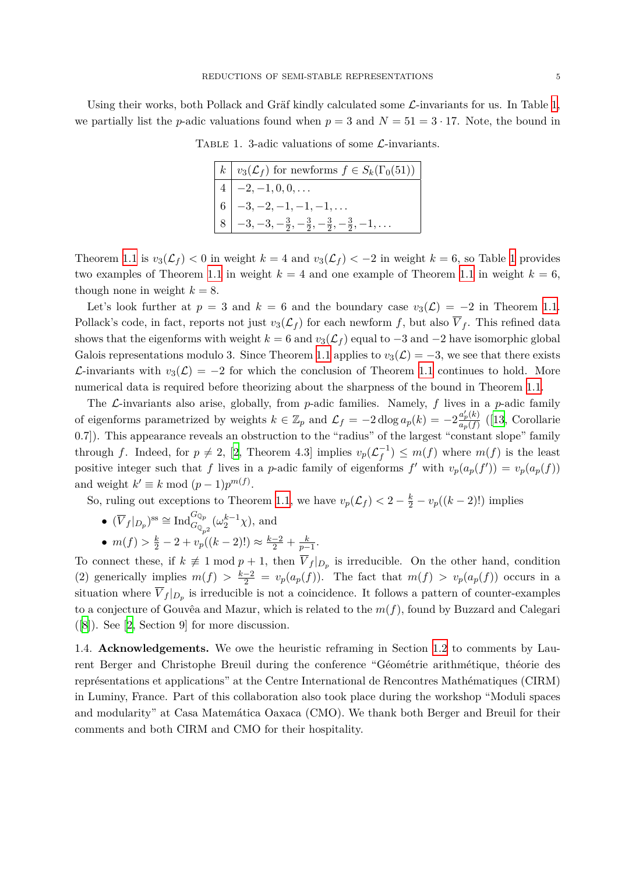Using their works, both Pollack and Gräf kindly calculated some *L*-invariants for us. In Table [1,](#page-5-0) we partially list the *p*-adic valuations found when  $p = 3$  and  $N = 51 = 3 \cdot 17$ . Note, the bound in

<span id="page-5-0"></span>

| $k   v_3(\mathcal{L}_f)$ for newforms $f \in S_k(\Gamma_0(51))$              |
|------------------------------------------------------------------------------|
| $4 \mid -2, -1, 0, 0, \ldots$                                                |
| 6 $\Big  -3, -2, -1, -1, -1, \ldots$                                         |
| $-3, -3, -\frac{3}{2}, -\frac{3}{2}, -\frac{3}{2}, -\frac{3}{2}, -1, \ldots$ |

Table 1. 3-adic valuations of some *L*-invariants.

Theorem [1.1](#page-2-0) is  $v_3(\mathcal{L}_f) < 0$  in weight  $k = 4$  and  $v_3(\mathcal{L}_f) < -2$  in weight  $k = 6$ , so Table [1](#page-5-0) provides two examples of Theorem [1.1](#page-2-0) in weight  $k = 4$  and one example of Theorem 1.1 in weight  $k = 6$ , though none in weight  $k = 8$ .

Let's look further at  $p = 3$  and  $k = 6$  and the boundary case  $v_3(\mathcal{L}) = -2$  in Theorem [1.1.](#page-2-0) Pollack's code, in fact, reports not just  $v_3(\mathcal{L}_f)$  for each newform f, but also  $\overline{V}_f$ . This refined data shows that the eigenforms with weight  $k = 6$  and  $v_3(\mathcal{L}_f)$  equal to  $-3$  and  $-2$  have isomorphic global Galois representations modulo 3. Since Theorem [1.1](#page-2-0) applies to  $v_3(\mathcal{L}) = -3$ , we see that there exists *L*-invariants with  $v_3(\mathcal{L}) = -2$  for which the conclusion of Theorem [1.1](#page-2-0) continues to hold. More numerical data is required before theorizing about the sharpness of the bound in Theorem [1.1](#page-2-0).

The *L*-invariants also arise, globally, from *p*-adic families. Namely, *f* lives in a *p*-adic family of eigenforms parametrized by weights  $k \in \mathbb{Z}_p$  and  $\mathcal{L}_f = -2 \operatorname{dlog} a_p(k) = -2 \frac{a'_p(k)}{a_p(f)}$  $\frac{a_p(\kappa)}{a_p(f)}$  ([\[13](#page-23-10), Corollarie 0.7]). This appearance reveals an obstruction to the "radius" of the largest "constant slope" family through *f*. Indeed, for  $p \neq 2$  $p \neq 2$ , [2, Theorem 4.3] implies  $v_p(\mathcal{L}_f^{-1}) \leq m(f)$  where  $m(f)$  is the least positive integer such that *f* lives in a *p*-adic family of eigenforms *f'* with  $v_p(a_p(f')) = v_p(a_p(f))$ and weight  $k' \equiv k \mod (p-1)p^{m(f)}$ .

So, ruling out exceptions to Theorem [1.1,](#page-2-0) we have  $v_p(\mathcal{L}_f) < 2 - \frac{k}{2} - v_p((k-2)!)$  implies

- $(\overline{V}_f|_{D_p})^{ss} \cong \text{Ind}_{G_{\mathbb{Q}_{p^2}}}^{G_{\mathbb{Q}_p}}(\omega_2^{k-1}\chi)$ , and
- $m(f) > \frac{k}{2} 2 + v_p((k-2)!) \approx \frac{k-2}{2} + \frac{k}{p-2}$  $\frac{k}{p-1}$ .

To connect these, if  $k \neq 1 \mod p + 1$ , then  $\overline{V}_f|_{D_p}$  is irreducible. On the other hand, condition (2) generically implies  $m(f) > \frac{k-2}{2} = v_p(a_p(f))$ . The fact that  $m(f) > v_p(a_p(f))$  occurs in a situation where  $\overline{V}_f|_{D_p}$  is irreducible is not a coincidence. It follows a pattern of counter-examples to a conjecture of Gouvêa and Mazur, which is related to the *m*(*f*), found by Buzzard and Calegari ([\[8\]](#page-22-10)). See [\[2,](#page-22-9) Section 9] for more discussion.

1.4. **Acknowledgements.** We owe the heuristic reframing in Section [1.2](#page-3-0) to comments by Laurent Berger and Christophe Breuil during the conference "Géométrie arithmétique, théorie des représentations et applications" at the Centre International de Rencontres Mathématiques (CIRM) in Luminy, France. Part of this collaboration also took place during the workshop "Moduli spaces and modularity" at Casa Matemática Oaxaca (CMO). We thank both Berger and Breuil for their comments and both CIRM and CMO for their hospitality.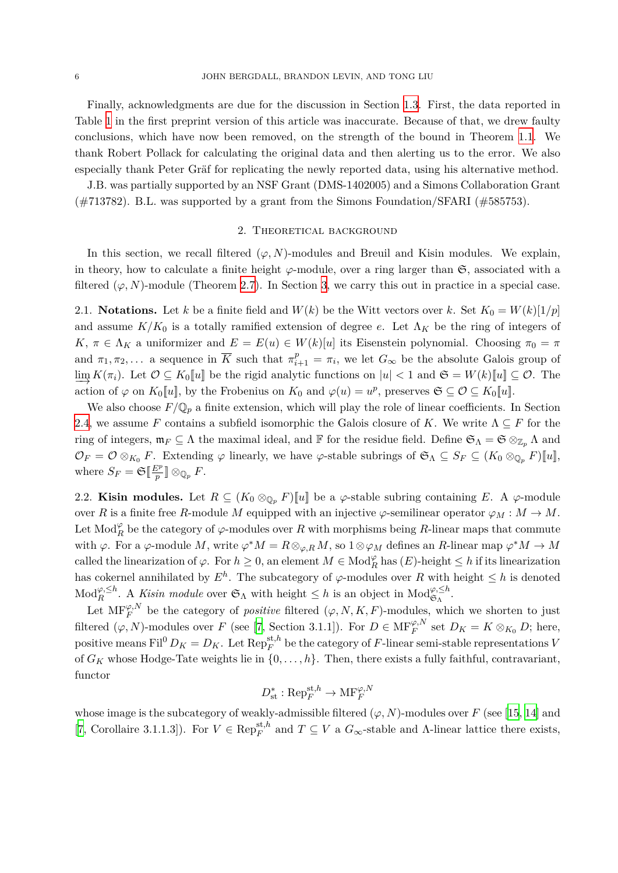Finally, acknowledgments are due for the discussion in Section [1.3](#page-4-1). First, the data reported in Table [1](#page-5-0) in the first preprint version of this article was inaccurate. Because of that, we drew faulty conclusions, which have now been removed, on the strength of the bound in Theorem [1.1.](#page-2-0) We thank Robert Pollack for calculating the original data and then alerting us to the error. We also especially thank Peter Gräf for replicating the newly reported data, using his alternative method.

<span id="page-6-0"></span>J.B. was partially supported by an NSF Grant (DMS-1402005) and a Simons Collaboration Grant (#713782). B.L. was supported by a grant from the Simons Foundation/SFARI (#585753).

#### 2. Theoretical background

In this section, we recall filtered  $(\varphi, N)$ -modules and Breuil and Kisin modules. We explain, in theory, how to calculate a finite height  $\varphi$ -module, over a ring larger than  $\mathfrak{S}$ , associated with a filtered  $(\varphi, N)$ -module (Theorem [2.7\)](#page-11-0). In Section [3,](#page-12-1) we carry this out in practice in a special case.

2.1. **Notations.** Let *k* be a finite field and  $W(k)$  be the Witt vectors over *k*. Set  $K_0 = W(k)[1/p]$ and assume  $K/K_0$  is a totally ramified extension of degree *e*. Let  $\Lambda_K$  be the ring of integers of *K*,  $\pi \in \Lambda_K$  a uniformizer and  $E = E(u) \in W(k)[u]$  its Eisenstein polynomial. Choosing  $\pi_0 = \pi$ and  $\pi_1, \pi_2, \ldots$  a sequence in  $\overline{K}$  such that  $\pi_{i+1}^p = \pi_i$ , we let  $G_\infty$  be the absolute Galois group of  $\lim_{h \to \infty} K(\pi_i)$ . Let  $\mathcal{O} \subseteq K_0[[u]]$  be the rigid analytic functions on  $|u| < 1$  and  $\mathfrak{S} = W(k)[u]] \subseteq \mathcal{O}$ . The action of  $\varphi$  on  $K_0[[u]]$ , by the Frobenius on  $K_0$  and  $\varphi(u) = u^p$ , preserves  $\mathfrak{S} \subseteq \mathcal{O} \subseteq K_0[[u]]$ .

We also choose  $F/\mathbb{Q}_p$  a finite extension, which will play the role of linear coefficients. In Section [2.4,](#page-9-0) we assume *F* contains a subfield isomorphic the Galois closure of *K*. We write  $\Lambda \subseteq F$  for the ring of integers,  $\mathfrak{m}_F \subseteq \Lambda$  the maximal ideal, and  $\mathbb F$  for the residue field. Define  $\mathfrak{S}_\Lambda = \mathfrak{S} \otimes_{\mathbb{Z}_p} \Lambda$  and  $\mathcal{O}_F = \mathcal{O} \otimes_{K_0} F$ . Extending  $\varphi$  linearly, we have  $\varphi$ -stable subrings of  $\mathfrak{S}_\Lambda \subseteq S_F \subseteq (K_0 \otimes_{\mathbb{Q}_p} F)[[u]]$ , where  $S_F = \mathfrak{S}[\frac{E^p}{p}]\otimes_{\mathbb{Q}_p} F$ .

2.2. **Kisin modules.** Let  $R \subseteq (K_0 \otimes_{\mathbb{Q}_p} F)[[u]]$  be a  $\varphi$ -stable subring containing *E*. A  $\varphi$ -module over *R* is a finite free *R*-module *M* equipped with an injective  $\varphi$ -semilinear operator  $\varphi_M : M \to M$ . Let  $\text{Mod}_R^{\varphi}$  be the category of  $\varphi$ -modules over  $R$  with morphisms being  $R$ -linear maps that commute with  $\varphi$ . For a  $\varphi$ -module *M*, write  $\varphi^* M = R \otimes_{\varphi, R} M$ , so  $1 \otimes \varphi_M$  defines an *R*-linear map  $\varphi^* M \to M$ called the linearization of  $\varphi$ . For  $h \geq 0$ , an element  $M \in Mod_R^{\varphi}$  has  $(E)$ -height  $\leq h$  if its linearization has cokernel annihilated by  $E^h$ . The subcategory of  $\varphi$ -modules over R with height  $\leq h$  is denoted  $\text{Mod}_{R}^{\varphi,\leq h}$ . A *Kisin module* over  $\mathfrak{S}_{\Lambda}$  with height  $\leq h$  is an object in  $\text{Mod}_{\mathfrak{S}_{\Lambda}}^{\varphi,\leq h}$ .

Let  $\text{MF}_F^{\varphi,N}$  be the category of *positive* filtered  $(\varphi, N, K, F)$ -modules, which we shorten to just filtered  $(\varphi, N)$ -modules over *F* (see [\[7,](#page-22-1) Section 3.1.1]). For  $D \in \text{MF}_F^{\varphi, N}$  set  $D_K = K \otimes_{K_0} D$ ; here, positive means Fil<sup>0</sup>  $D_K = D_K$ . Let  $\text{Rep}_F^{\text{st},h}$  be the category of *F*-linear semi-stable representations *V* of  $G_K$  whose Hodge-Tate weights lie in  $\{0, \ldots, h\}$ . Then, there exists a fully faithful, contravariant, functor

$$
D_{\text{st}}^* : \text{Rep}_F^{\text{st},h} \to \text{MF}_F^{\varphi,N}
$$

whose image is the subcategory of weakly-admissible filtered  $(\varphi, N)$ -modules over *F* (see [\[15](#page-23-11), [14\]](#page-23-12) and [\[7](#page-22-1), Corollaire 3.1.1.3]). For  $V \in \text{Rep}_F^{\text{st},h}$  and  $T \subseteq V$  a  $G_{\infty}$ -stable and  $\Lambda$ -linear lattice there exists,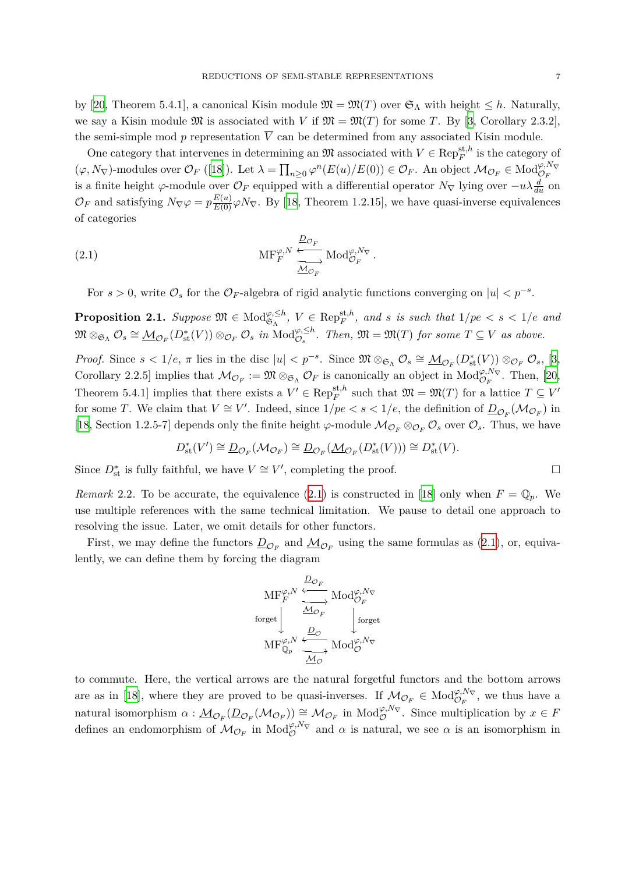by [\[20](#page-23-13), Theorem 5.4.1], a canonical Kisin module  $\mathfrak{M} = \mathfrak{M}(T)$  over  $\mathfrak{S}_{\Lambda}$  with height  $\leq h$ . Naturally, we say a Kisin module  $\mathfrak{M}$  is associated with *V* if  $\mathfrak{M} = \mathfrak{M}(T)$  for some *T*. By [[3](#page-22-6), Corollary 2.3.2], the semi-simple mod  $p$  representation  $\overline{V}$  can be determined from any associated Kisin module.

One category that intervenes in determining an  $\mathfrak{M}$  associated with  $V \in \text{Rep}_{F}^{\text{st},h}$  is the category of  $(\varphi, N_{\nabla})$ -modules over  $\mathcal{O}_F$  ([\[18](#page-23-4)]). Let  $\lambda = \prod_{n\geq 0} \varphi^n(E(u)/E(0)) \in \mathcal{O}_F$ . An object  $\mathcal{M}_{\mathcal{O}_F} \in Mod_{\mathcal{O}_F}^{\varphi, N_{\nabla}}$ is a finite height *φ*-module over  $\mathcal{O}_F$  equipped with a differential operator  $N_\nabla$  lying over  $-u\lambda \frac{d}{du}$  on  $\mathcal{O}_F$  and satisfying  $N_{\nabla} \varphi = p \frac{E(u)}{E(0)} \varphi N_{\nabla}$ . By [[18,](#page-23-4) Theorem 1.2.15], we have quasi-inverse equivalences of categories

(2.1) 
$$
\operatorname{MF}_{F}^{\varphi, N} \xleftarrow{\underline{D}_{\mathcal{O}_F}} \operatorname{Mod}_{\mathcal{O}_F}^{\varphi, N_{\nabla}}.
$$

<span id="page-7-0"></span>For  $s > 0$ , write  $\mathcal{O}_s$  for the  $\mathcal{O}_F$ -algebra of rigid analytic functions converging on  $|u| < p^{-s}$ .

<span id="page-7-2"></span>**Proposition 2.1.** Suppose  $\mathfrak{M} \in Mod_{\mathfrak{S}_{\Lambda}}^{\varphi, \leq h}$ ,  $V \in Rep_F^{\text{st},h}$ , and *s* is such that  $1/pe < s < 1/e$  and  $\mathfrak{M} \otimes_{\mathfrak{S}_{\Lambda}} \mathcal{O}_s \cong \underline{\mathcal{M}}_{\mathcal{O}_F}(D_{\text{st}}^*(V)) \otimes_{\mathcal{O}_F} \mathcal{O}_s$  in  $\text{Mod}_{\mathcal{O}_s}^{\varphi, \leq h}$ . Then,  $\mathfrak{M} = \mathfrak{M}(T)$  for some  $T \subseteq V$  as above.

*Proof.* Since  $s < 1/e$ ,  $\pi$  lies in the disc  $|u| < p^{-s}$ . Since  $\mathfrak{M} \otimes_{\mathfrak{S}_{\Lambda}} \mathcal{O}_s \cong \underline{\mathcal{M}}_{\mathcal{O}_F}(D^*_{st}(V)) \otimes_{\mathcal{O}_F} \mathcal{O}_s$ , [[3,](#page-22-6) Corollary 2.2.5] implies that  $\mathcal{M}_{\mathcal{O}_F} := \mathfrak{M} \otimes_{\mathfrak{S}_{\Lambda}} \mathcal{O}_F$  is canonically an object in  $\text{Mod}_{\mathcal{O}_F}^{\varphi, N_{\nabla}}$ . Then, [\[20,](#page-23-13) Theorem 5.4.1] implies that there exists a  $V' \in \text{Rep}_F^{\text{st},h}$  such that  $\mathfrak{M} = \mathfrak{M}(T)$  for a lattice  $T \subseteq V'$ for some *T*. We claim that  $V \cong V'$ . Indeed, since  $1/pe < s < 1/e$ , the definition of  $D_{\mathcal{O}_F}(\mathcal{M}_{\mathcal{O}_F})$  in [\[18,](#page-23-4) Section 1.2.5-7] depends only the finite height  $\varphi$ -module  $\mathcal{M}_{\mathcal{O}_F} \otimes_{\mathcal{O}_F} \mathcal{O}_s$  over  $\mathcal{O}_s$ . Thus, we have

$$
D^*_{\mathrm{st}}(V')\cong \underline{D}_{\mathcal{O}_F}(\mathcal{M}_{\mathcal{O}_F})\cong \underline{D}_{\mathcal{O}_F}(\underline{\mathcal{M}}_{\mathcal{O}_F}(D^*_{\mathrm{st}}(V)))\cong D^*_{\mathrm{st}}(V).
$$

Since  $D_{\text{st}}^{*}$  is fully faithful, we have  $V \cong V'$ , completing the proof. □

<span id="page-7-1"></span>*Remark* 2.2. To be accurate, the equivalence ([2.1\)](#page-7-0) is constructed in [\[18\]](#page-23-4) only when  $F = \mathbb{Q}_p$ . We use multiple references with the same technical limitation. We pause to detail one approach to resolving the issue. Later, we omit details for other functors.

First, we may define the functors  $\underline{D}_{\mathcal{O}_F}$  and  $\underline{\mathcal{M}}_{\mathcal{O}_F}$  using the same formulas as [\(2.1](#page-7-0)), or, equivalently, we can define them by forcing the diagram

$$
\operatorname{MF}_{F}^{\varphi,N} \xrightarrow{\underline{D}_{\mathcal{O}_F}} \operatorname{Mod}_{\mathcal{O}_F}^{\varphi,N_{\nabla}}
$$
\n
$$
\operatorname{forget} \downarrow \xrightarrow{\underline{M}_{\mathcal{O}_F}} \downarrow \operatorname{forget}_{\mathbb{Q}_p}^{\text{forget}}
$$
\n
$$
\operatorname{MF}_{\mathbb{Q}_p}^{\varphi,N} \xleftarrow{\underline{D}_{\mathcal{O}}} \operatorname{Mod}_{\mathcal{O}}^{\varphi,N_{\nabla}}
$$

to commute. Here, the vertical arrows are the natural forgetful functors and the bottom arrows are as in [[18\]](#page-23-4), where they are proved to be quasi-inverses. If  $\mathcal{M}_{\mathcal{O}_F} \in Mod_{\mathcal{O}_F}^{\varphi, N_{\nabla}}$ , we thus have a natural isomorphism  $\alpha : \underline{\mathcal{M}}_{\mathcal{O}_F}(\underline{D}_{\mathcal{O}_F}(\mathcal{M}_{\mathcal{O}_F})) \cong \mathcal{M}_{\mathcal{O}_F}$  in  $\text{Mod}_{\mathcal{O}}^{\varphi, N_{\nabla}}$ . Since multiplication by  $x \in F$ defines an endomorphism of  $M_{\mathcal{O}_F}$  in  $\text{Mod}_{\mathcal{O}}^{\varphi, N_{\nabla}}$  and  $\alpha$  is natural, we see  $\alpha$  is an isomorphism in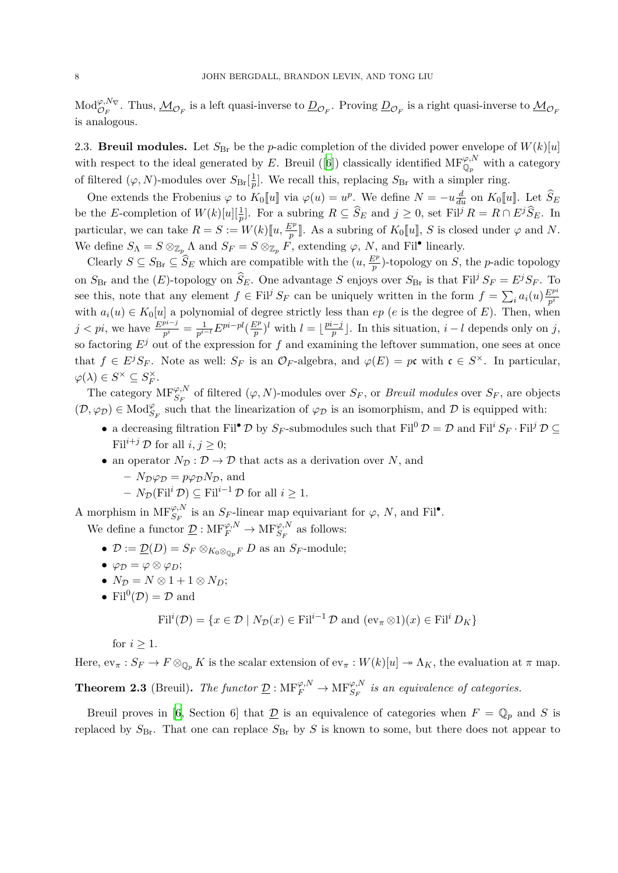$\mathcal{M}$  $od_{\mathcal{O}_F}^{\varphi, N_\nabla}$ . Thus,  $\mathcal{M}_{\mathcal{O}_F}$  is a left quasi-inverse to  $\underline{D}_{\mathcal{O}_F}$ . Proving  $\underline{D}_{\mathcal{O}_F}$  is a right quasi-inverse to  $\underline{\mathcal{M}}_{\mathcal{O}_F}$ is analogous.

2.3. **Breuil modules.** Let  $S_{\text{Br}}$  be the *p*-adic completion of the divided power envelope of  $W(k)[u]$ with respect to the ideal generated by *E*. Breuil ([\[6\]](#page-22-7)) classically identified  $MF^{\varphi,N}_{\mathbb{Q}_p}$  with a category of filtered  $(\varphi, N)$ -modules over  $S_{\text{Br}}\left[\frac{1}{n}\right]$  $\frac{1}{p}$ . We recall this, replacing  $S_{\text{Br}}$  with a simpler ring.

One extends the Frobenius  $\varphi$  to  $K_0[[u]]$  via  $\varphi(u) = u^p$ . We define  $N = -u \frac{d}{du}$  on  $K_0[[u]]$ . Let  $\widehat{S}_E$ be the E-completion of  $W(k)[u][\frac{1}{p}]$ . For a subring  $R \subseteq \widehat{S}_E$  and  $j \geq 0$ , set Fil<sup>j</sup>  $R = R \cap E^j \widehat{S}_E$ . In particular, we can take  $R = S := W(k)[\![u, \frac{E^p}{p}]\!]$ . As a subring of  $K_0[\![u]\!], S$  is closed under  $\varphi$  and  $N$ . We define  $S_{\Lambda} = S \otimes_{\mathbb{Z}_p} {\Lambda}$  and  $S_F = S \otimes_{\mathbb{Z}_p} F$ , extending  $\varphi$ , *N*, and Fil<sup>•</sup> linearly.

Clearly  $S \subseteq S_{\text{Br}} \subseteq \widehat{S}_E$  which are compatible with the  $(u, \frac{E^p}{p})$ -topology on *S*, the *p*-adic topology on  $S_{\text{Br}}$  and the  $(E)$ -topology on  $\widehat{S}_E$ . One advantage *S* enjoys over  $S_{\text{Br}}$  is that Fil<sup>*j*</sup>  $S_F = E^j S_F$ . To see this, note that any element  $f \in \text{Fil}^j S_F$  can be uniquely written in the form  $f = \sum_i a_i(u) \frac{E^{pi}}{p^i}$ *p i* with  $a_i(u) \in K_0[u]$  a polynomial of degree strictly less than  $ep$  (*e* is the degree of *E*). Then, when *j* < *pi*, we have  $\frac{E^{pi-j}}{p^i} = \frac{1}{p^{i-1}}$ *p <sup>i</sup>−<sup>l</sup> Epi−pl*( *E<sup>p</sup>*  $(\frac{p}{p})^l$  with  $l = \lfloor \frac{pi-j}{p} \rfloor$ . In this situation,  $i - l$  depends only on *j*, so factoring  $E^j$  out of the expression for f and examining the leftover summation, one sees at once that  $f \in E^{j}S_{F}$ . Note as well:  $S_{F}$  is an  $\mathcal{O}_{F}$ -algebra, and  $\varphi(E) = p\mathfrak{c}$  with  $\mathfrak{c} \in S^{\times}$ . In particular,  $\varphi(\lambda) \in S^{\times} \subseteq S_F^{\times}$ .

The category  $\text{MF}_{S_F}^{\varphi,N}$  of filtered  $(\varphi, N)$ -modules over  $S_F$ , or *Breuil modules* over  $S_F$ , are objects  $(\mathcal{D}, \varphi_{\mathcal{D}}) \in Mod_{S_F}^{\varphi}$  such that the linearization of  $\varphi_{\mathcal{D}}$  is an isomorphism, and  $\mathcal D$  is equipped with:

- a decreasing filtration Fil<sup>•</sup>  $\mathcal{D}$  by  $S_F$ -submodules such that Fil<sup>0</sup>  $\mathcal{D} = \mathcal{D}$  and Fil<sup>*i*</sup>  $S_F \cdot$  Fil<sup>*j*</sup>  $\mathcal{D} \subseteq$ Fil<sup>*i*+*j*</sup>  $\mathcal{D}$  for all *i*, *j*  $\geq$  0;
- an operator  $N_{\mathcal{D}} : \mathcal{D} \to \mathcal{D}$  that acts as a derivation over *N*, and
	- $-V_{\mathcal{D}}\varphi_{\mathcal{D}} = p\varphi_{\mathcal{D}}N_{\mathcal{D}}$ , and
	- $N_{\mathcal{D}}(\text{Fil}^i \mathcal{D}) \subseteq \text{Fil}^{i-1} \mathcal{D}$  for all *i* ≥ 1.

A morphism in  $\text{MF}_{S_F}^{\varphi,N}$  is an  $S_F$ -linear map equivariant for  $\varphi$ , *N*, and Fil<sup>•</sup>.

We define a functor  $\underline{\mathcal{D}}$ :  $\text{MF}_{F}^{\varphi,N} \to \text{MF}_{S_F}^{\varphi,N}$  as follows:

- $\mathcal{D} := \underline{\mathcal{D}}(D) = S_F \otimes_{K_0 \otimes_{\mathbb{Q}_p} F} D$  as an  $S_F$ -module;
- $\varphi_{\mathcal{D}} = \varphi \otimes \varphi_D;$
- $N_{\mathcal{D}} = N \otimes 1 + 1 \otimes N_{D};$
- Fil<sup>0</sup> $(\mathcal{D}) = \mathcal{D}$  and

$$
\mathrm{Fil}^i(\mathcal{D}) = \{ x \in \mathcal{D} \mid N_{\mathcal{D}}(x) \in \mathrm{Fil}^{i-1} \mathcal{D} \text{ and } (\mathrm{ev}_{\pi} \otimes 1)(x) \in \mathrm{Fil}^i D_K \}
$$

for  $i \geq 1$ .

Here,  $ev_{\pi}: S_F \to F \otimes_{\mathbb{Q}_n} K$  is the scalar extension of  $ev_{\pi}: W(k)[u] \to \Lambda_K$ , the evaluation at  $\pi$  map.

<span id="page-8-0"></span>**Theorem 2.3** (Breuil). The functor  $\underline{\mathcal{D}}$  :  $\text{MF}_{F}^{\varphi,N} \to \text{MF}_{S_F}^{\varphi,N}$  is an equivalence of categories.

Breuil proves in [\[6,](#page-22-7) Section 6] that  $\mathcal{D}$  is an equivalence of categories when  $F = \mathbb{Q}_p$  and *S* is replaced by  $S_{\text{Br}}$ . That one can replace  $S_{\text{Br}}$  by *S* is known to some, but there does not appear to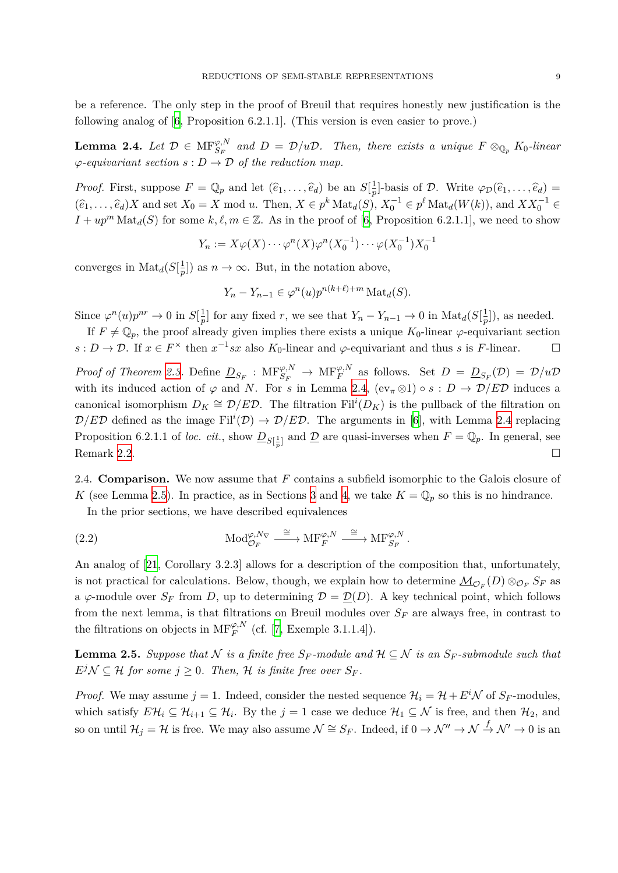be a reference. The only step in the proof of Breuil that requires honestly new justification is the following analog of [\[6,](#page-22-7) Proposition 6.2.1.1]. (This version is even easier to prove.)

<span id="page-9-1"></span>**Lemma 2.4.** Let  $\mathcal{D} \in \text{MF}_{S_F}^{\varphi,N}$  and  $D = \mathcal{D}/u\mathcal{D}$ . Then, there exists a unique  $F \otimes_{\mathbb{Q}_p} K_0$ -linear  $\varphi$ *-equivariant section*  $s : D \to \mathcal{D}$  *of the reduction map.* 

*Proof.* First, suppose  $F = \mathbb{Q}_p$  and let  $(\hat{e}_1, \dots, \hat{e}_d)$  be an  $S[\frac{1}{p}]$ *p*<sup>1</sup>). basis of *D*. Write  $\varphi_{\mathcal{D}}(\hat{e}_1, \dots, \hat{e}_d) =$  $(\widehat{e}_1,\ldots,\widehat{e}_d)X$  and set  $X_0 = X \mod u$ . Then,  $X \in p^k \text{Mat}_d(S)$ ,  $X_0^{-1} \in p^\ell \text{Mat}_d(W(k))$ , and  $XX_0^{-1} \in$ <br> $X \models mM + (G)$ .  $I + up^m \text{Mat}_d(S)$  for some  $k, \ell, m \in \mathbb{Z}$ . As in the proof of [\[6,](#page-22-7) Proposition 6.2.1.1], we need to show

$$
Y_n := X \varphi(X) \cdots \varphi^n(X) \varphi^n(X_0^{-1}) \cdots \varphi(X_0^{-1}) X_0^{-1}
$$

converges in  $\text{Mat}_{d}(S[\frac{1}{n}$  $(\frac{1}{p})$  as  $n \to \infty$ . But, in the notation above,

$$
Y_n - Y_{n-1} \in \varphi^n(u) p^{n(k+\ell)+m} \operatorname{Mat}_d(S).
$$

Since  $\varphi^n(u)p^{nr} \to 0$  in  $S[\frac{1}{n}]$  $\frac{1}{p}$ ] for any fixed *r*, we see that  $Y_n - Y_{n-1} \to 0$  in  $\text{Mat}_{d}(S[\frac{1}{p}])$  $\frac{1}{p}$ , as needed.

If  $F \neq \mathbb{Q}_p$ , the proof already given implies there exists a unique  $K_0$ -linear  $\varphi$ -equivariant section  $s: D \to \mathcal{D}$ . If  $x \in F^\times$  then  $x^{-1}sx$  also  $K_0$ -linear and  $\varphi$ -equivariant and thus *s* is *F*-linear. □

*Proof of Theorem [2.3.](#page-8-0)* Define  $\underline{D}_{S_F}$  :  $MF_{S_F}^{\varphi,N} \to MF_F^{\varphi,N}$  as follows. Set  $D = \underline{D}_{S_F}(\mathcal{D}) = \mathcal{D}/u\mathcal{D}$ with its induced action of  $\varphi$  and *N*. For *s* in Lemma [2.4](#page-9-1),  $(ev_{\pi} \otimes 1) \circ s : D \to \mathcal{D}/E\mathcal{D}$  induces a canonical isomorphism  $D_K \cong \mathcal{D}/E\mathcal{D}$ . The filtration Fil<sup>*i*</sup>( $D_K$ ) is the pullback of the filtration on  $\mathcal{D}/E\mathcal{D}$  defined as the image Fil<sup>*i*</sup>( $\mathcal{D}$ )  $\rightarrow \mathcal{D}/E\mathcal{D}$ . The arguments in [\[6](#page-22-7)], with Lemma [2.4](#page-9-1) replacing Proposition 6.2.1.1 of *loc. cit.*, show  $\underline{D}_{S[\frac{1}{p}]}$  and  $\underline{D}$  are quasi-inverses when  $F = \mathbb{Q}_p$ . In general, see Remark [2.2](#page-7-1).  $\Box$ 

<span id="page-9-0"></span>2.4. **Comparison.** We now assume that *F* contains a subfield isomorphic to the Galois closure of *K* (see Lemma [2.5](#page-9-2)). In practice, as in Sections [3](#page-12-1) and [4,](#page-16-2) we take  $K = \mathbb{Q}_p$  so this is no hindrance.

In the prior sections, we have described equivalences

(2.2) 
$$
\qquad \qquad \mathrm{Mod}_{\mathcal{O}_F}^{\varphi, N_\nabla} \xrightarrow{\cong} \mathrm{MF}_F^{\varphi, N} \xrightarrow{\cong} \mathrm{MF}_{S_F}^{\varphi, N}.
$$

An analog of [[21,](#page-23-14) Corollary 3.2.3] allows for a description of the composition that, unfortunately, is not practical for calculations. Below, though, we explain how to determine  $\mathcal{M}_{\mathcal{O}_F}(D) \otimes_{\mathcal{O}_F} S_F$  as a  $\varphi$ -module over  $S_F$  from *D*, up to determining  $\mathcal{D} = \mathcal{D}(D)$ . A key technical point, which follows from the next lemma, is that filtrations on Breuil modules over *S<sup>F</sup>* are always free, in contrast to the filtrations on objects in  $\text{MF}_F^{\varphi,N}$  (cf. [\[7,](#page-22-1) Exemple 3.1.1.4]).

<span id="page-9-2"></span>**Lemma 2.5.** *Suppose that*  $N$  *is a finite free*  $S_F$ -module and  $H \subseteq N$  *is an*  $S_F$ -submodule such that  $E^{j}$ *N*  $\subseteq$  *H for some*  $j \ge 0$ *. Then, H is finite free over*  $S_F$ *.* 

*Proof.* We may assume  $j = 1$ . Indeed, consider the nested sequence  $\mathcal{H}_i = \mathcal{H} + E^i \mathcal{N}$  of  $S_F$ -modules, which satisfy  $E\mathcal{H}_i \subseteq \mathcal{H}_{i+1} \subseteq \mathcal{H}_i$ . By the  $j = 1$  case we deduce  $\mathcal{H}_1 \subseteq \mathcal{N}$  is free, and then  $\mathcal{H}_2$ , and so on until  $\mathcal{H}_j = \mathcal{H}$  is free. We may also assume  $\mathcal{N} \cong S_F$ . Indeed, if  $0 \to \mathcal{N}'' \to \mathcal{N} \to \mathcal{N}' \to 0$  is an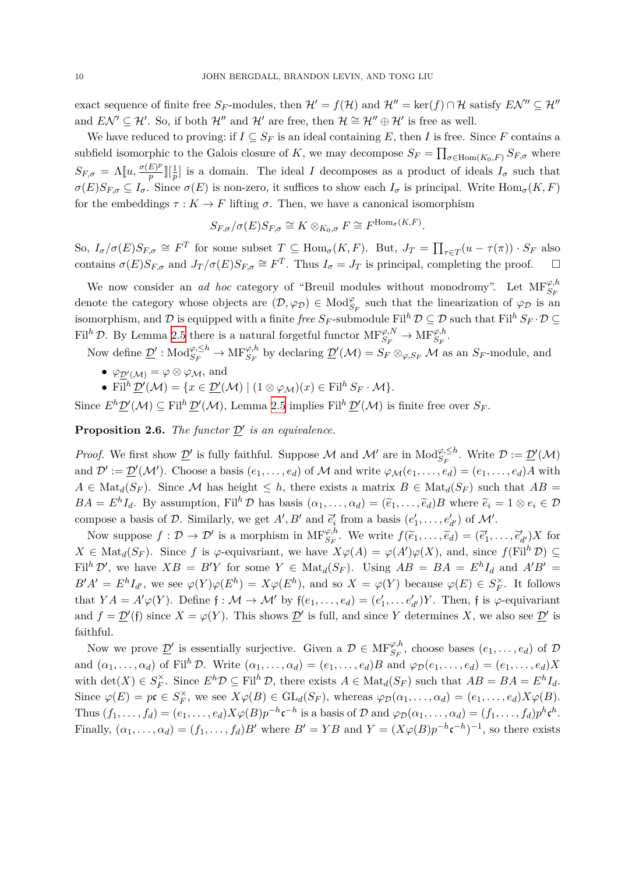exact sequence of finite free  $S_F$ -modules, then  $\mathcal{H}' = f(\mathcal{H})$  and  $\mathcal{H}'' = \ker(f) \cap \mathcal{H}$  satisfy  $E\mathcal{N}'' \subseteq \mathcal{H}''$ and  $E\mathcal{N}' \subseteq \mathcal{H}'$ . So, if both  $\mathcal{H}''$  and  $\mathcal{H}'$  are free, then  $\mathcal{H} \cong \mathcal{H}'' \oplus \mathcal{H}'$  is free as well.

We have reduced to proving: if  $I \subseteq S_F$  is an ideal containing E, then I is free. Since F contains a subfield isomorphic to the Galois closure of *K*, we may decompose  $S_F = \prod_{\sigma \in \text{Hom}(K_0, F)} S_{F, \sigma}$  where  $S_{F,\sigma} = \Lambda[u, \frac{\sigma(E)^p}{p}]$  $\frac{E}{p}$  $\left[\frac{1}{p}\right]$  is a domain. The ideal *I* decomposes as a product of ideals  $I_{\sigma}$  such that  $\sigma(E)S_{F,\sigma} \subseteq I_{\sigma}$ . Since  $\sigma(E)$  is non-zero, it suffices to show each  $I_{\sigma}$  is principal. Write  $\text{Hom}_{\sigma}(K,F)$ for the embeddings  $\tau : K \to F$  lifting  $\sigma$ . Then, we have a canonical isomorphism

$$
S_{F,\sigma}/\sigma(E)S_{F,\sigma}\cong K\otimes_{K_0,\sigma} F\cong F^{\text{Hom}_{\sigma}(K,F)}.
$$

So,  $I_{\sigma}/\sigma(E)S_{F,\sigma} \cong F^T$  for some subset  $T \subseteq \text{Hom}_{\sigma}(K,F)$ . But,  $J_T = \prod_{\tau \in T} (u - \tau(\pi)) \cdot S_F$  also contains  $\sigma(E)S_{F,\sigma}$  and  $J_T/\sigma(E)S_{F,\sigma} \cong F^T$ . Thus  $I_{\sigma} = J_T$  is principal, completing the proof.  $\Box$ 

We now consider an *ad hoc* category of "Breuil modules without monodromy". Let  $MF_{S_F}^{\varphi,h}$ denote the category whose objects are  $(D, \varphi_D) \in Mod_{S_F}^{\varphi}$  such that the linearization of  $\varphi_D$  is an isomorphism, and  $\mathcal{D}$  is equipped with a finite *free*  $S_F$ -submodule Fil<sup>h</sup>  $\mathcal{D} \subseteq \mathcal{D}$  such that Fil<sup>h</sup>  $S_F \cdot \mathcal{D} \subseteq$ Fil<sup>h</sup>  $\mathcal{D}$ . By Lemma [2.5](#page-9-2) there is a natural forgetful functor  $\text{MF}_{S_F}^{\varphi, N} \to \text{MF}_{S_F}^{\varphi, h}$ .

Now define  $\underline{\mathcal{D}}'$ :  $\text{Mod}_{S_F}^{\varphi,\leq h} \to \text{MF}_{S_F}^{\varphi,h}$  by declaring  $\underline{\mathcal{D}}'(\mathcal{M}) = S_F \otimes_{\varphi,S_F} \mathcal{M}$  as an  $S_F$ -module, and

- $\varphi_{\underline{\mathcal{D}}'_{\cdot}}(\mathcal{M}) = \varphi \otimes \varphi_{\mathcal{M}}, \text{ and}$
- Fil<sup>h</sup>  $\underline{\mathcal{D}}'(\mathcal{M}) = \{x \in \underline{\mathcal{D}}'(\mathcal{M}) \mid (1 \otimes \varphi_{\mathcal{M}})(x) \in \mathrm{Fil}^h S_F \cdot \mathcal{M}\}.$

Since  $E^h \mathcal{D}'(\mathcal{M}) \subseteq \text{Fil}^h \mathcal{D}'(\mathcal{M})$ , Lemma [2.5](#page-9-2) implies  $\text{Fil}^h \mathcal{D}'(\mathcal{M})$  is finite free over  $S_F$ .

<span id="page-10-0"></span>**Proposition 2.6.** *The functor*  $\underline{\mathcal{D}}'$  *is an equivalence.* 

*Proof.* We first show  $\underline{\mathcal{D}}'$  is fully faithful. Suppose *M* and *M'* are in  $\text{Mod}_{S_F}^{\varphi,\leq h}$ . Write  $\mathcal{D} := \underline{\mathcal{D}}'(\mathcal{M})$ and  $\mathcal{D}' := \underline{\mathcal{D}}'(\mathcal{M}')$ . Choose a basis  $(e_1, \ldots, e_d)$  of  $\mathcal M$  and write  $\varphi_{\mathcal{M}}(e_1, \ldots, e_d) = (e_1, \ldots, e_d)A$  with  $A \in Mat_d(S_F)$ . Since M has height  $\leq h$ , there exists a matrix  $B \in Mat_d(S_F)$  such that  $AB =$  $BA = E^{h}I_{d}$ . By assumption, Fil<sup>h</sup>  $D$  has basis  $(\alpha_{1}, ..., \alpha_{d}) = (\tilde{e}_{1}, ..., \tilde{e}_{d})B$  where  $\tilde{e}_{i} = 1 \otimes e_{i} \in D$ compose a basis of *D*. Similarly, we get *A'*, *B'* and  $\tilde{e}'_i$  from a basis  $(e'_1, \ldots, e'_{d'})$  of *M'*.

Now suppose  $f: \mathcal{D} \to \mathcal{D}'$  is a morphism in  $\text{MF}_{S_F}^{\varphi, h}$ . We write  $f(\widetilde{e}_1, \ldots, \widetilde{e}_d) = (\widetilde{e}'_1, \ldots, \widetilde{e}'_{d'})X$  for  $X \in Mat_d(S_F)$ . Since *f* is *φ*-equivariant, we have  $X\varphi(A) = \varphi(A')\varphi(X)$ , and, since  $f(\mathrm{Fil}^h \mathcal{D}) \subseteq$ Fil<sup>h</sup> D', we have  $XB = B'Y$  for some  $Y \in Mat_d(S_F)$ . Using  $AB = BA = E^hI_d$  and  $A'B' =$  $B'A' = E^h I_{d'}$ , we see  $\varphi(Y)\varphi(E^h) = X\varphi(E^h)$ , and so  $X = \varphi(Y)$  because  $\varphi(E) \in S_F^{\times}$ . It follows that  $YA = A'\varphi(Y)$ . Define  $\mathfrak{f} : \mathcal{M} \to \mathcal{M}'$  by  $\mathfrak{f}(e_1, \ldots, e_d) = (e'_1, \ldots, e'_{d'})Y$ . Then,  $\mathfrak{f}$  is  $\varphi$ -equivariant and  $f = \mathcal{D}'(f)$  since  $X = \varphi(Y)$ . This shows  $\mathcal{D}'$  is full, and since Y determines X, we also see  $\mathcal{D}'$  is faithful.

Now we prove  $\underline{\mathcal{D}}'$  is essentially surjective. Given a  $\mathcal{D} \in \text{MF}_{S_F}^{\varphi,h}$ , choose bases  $(e_1,\ldots,e_d)$  of  $\mathcal D$ and  $(\alpha_1, \ldots, \alpha_d)$  of Fil<sup>h</sup> D. Write  $(\alpha_1, \ldots, \alpha_d) = (e_1, \ldots, e_d)B$  and  $\varphi_D(e_1, \ldots, e_d) = (e_1, \ldots, e_d)X$ with  $\det(X) \in S_F^{\times}$ . Since  $E^h \mathcal{D} \subseteq \mathrm{Fil}^h \mathcal{D}$ , there exists  $A \in \mathrm{Mat}_d(S_F)$  such that  $AB = BA = E^h I_d$ . Since  $\varphi(E) = p\mathfrak{c} \in S_F^{\times}$ , we see  $X\varphi(B) \in GL_d(S_F)$ , whereas  $\varphi_D(\alpha_1,\ldots,\alpha_d) = (e_1,\ldots,e_d)X\varphi(B)$ . Thus  $(f_1, \ldots, f_d) = (e_1, \ldots, e_d) X \varphi(B) p^{-h} \mathfrak{c}^{-h}$  is a basis of  $\mathcal D$  and  $\varphi_{\mathcal D}(\alpha_1, \ldots, \alpha_d) = (f_1, \ldots, f_d) p^h \mathfrak{c}^h$ . Finally,  $(\alpha_1, \ldots, \alpha_d) = (f_1, \ldots, f_d)B'$  where  $B' = YB$  and  $Y = (X\varphi(B)p^{-h}c^{-h})^{-1}$ , so there exists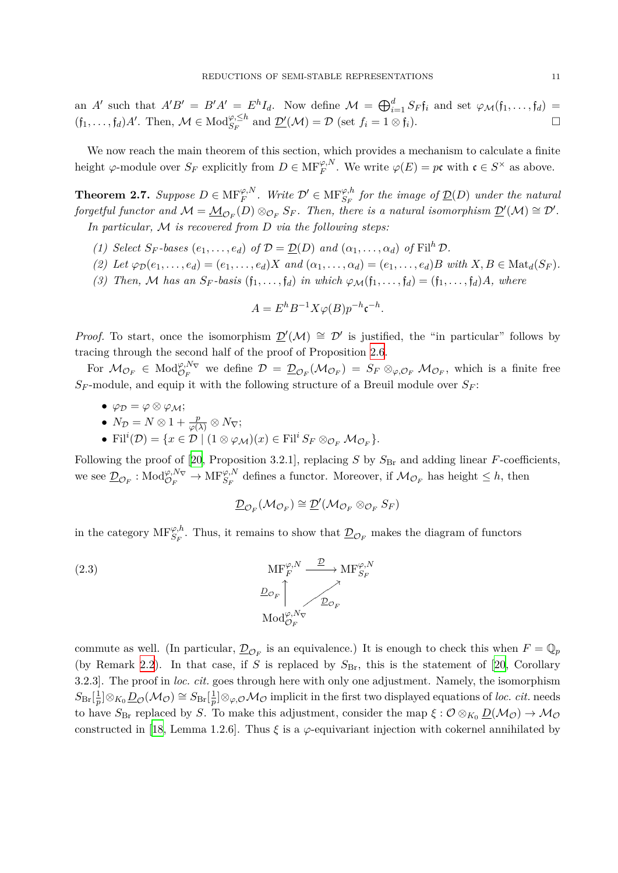an A' such that  $A'B' = B'A' = E^h I_d$ . Now define  $\mathcal{M} = \bigoplus_{i=1}^d S_F \mathfrak{f}_i$  and set  $\varphi_{\mathcal{M}}(\mathfrak{f}_1, \ldots, \mathfrak{f}_d) =$  $(f_1, \ldots, f_d)A'$ . Then,  $M \in Mod_{S_F}^{\varphi, \leq h}$  and  $\underline{\mathcal{D}'}(\mathcal{M}) = \mathcal{D}$  (set  $f_i = 1 \otimes f_i$ ).

We now reach the main theorem of this section, which provides a mechanism to calculate a finite height  $\varphi$ -module over  $S_F$  explicitly from  $D \in \text{MF}_F^{\varphi,N}$ . We write  $\varphi(E) = p\mathfrak{c}$  with  $\mathfrak{c} \in S^\times$  as above.

<span id="page-11-0"></span>**Theorem 2.7.** Suppose  $D \in \mathrm{MF}_F^{\varphi,N}$ . Write  $\mathcal{D}' \in \mathrm{MF}_{S_F}^{\varphi,h}$  for the image of  $\underline{\mathcal{D}}(D)$  under the natural forgetful functor and  $\mathcal{M} = \underline{\mathcal{M}}_{\mathcal{O}_F}(D) \otimes_{\mathcal{O}_F} S_F$ . Then, there is a natural isomorphism  $\underline{\mathcal{D}}'(\mathcal{M}) \cong \mathcal{D}'$ . *In particular, M is recovered from D via the following steps:*

- (1) *Select*  $S_F$ -bases  $(e_1, \ldots, e_d)$  of  $\mathcal{D} = \mathcal{D}(D)$  and  $(\alpha_1, \ldots, \alpha_d)$  of  $\text{Fil}^h \mathcal{D}$ .
- (2) Let  $\varphi_{\mathcal{D}}(e_1,\ldots,e_d)=(e_1,\ldots,e_d)X$  and  $(\alpha_1,\ldots,\alpha_d)=(e_1,\ldots,e_d)B$  with  $X,B\in \text{Mat}_d(S_F)$ .
- (3) Then, M has an  $S_F$ -basis  $(f_1, \ldots, f_d)$  in which  $\varphi_{\mathcal{M}}(f_1, \ldots, f_d) = (f_1, \ldots, f_d)A$ , where

$$
A = E^h B^{-1} X \varphi(B) p^{-h} \mathfrak{c}^{-h}.
$$

*Proof.* To start, once the isomorphism  $\mathcal{D}'(\mathcal{M}) \cong \mathcal{D}'$  is justified, the "in particular" follows by tracing through the second half of the proof of Proposition [2.6.](#page-10-0)

For  $M_{\mathcal{O}_F} \in \text{Mod}_{\mathcal{O}_F}^{\varphi, N_{\nabla}}$  we define  $\mathcal{D} = \underline{\mathcal{D}}_{\mathcal{O}_F}(\mathcal{M}_{\mathcal{O}_F}) = S_F \otimes_{\varphi, \mathcal{O}_F} \mathcal{M}_{\mathcal{O}_F}$ , which is a finite free  $S_F$ -module, and equip it with the following structure of a Breuil module over  $S_F$ :

- *• φ<sup>D</sup>* = *φ ⊗ φM*;
- $N_{\mathcal{D}} = N \otimes 1 + \frac{p}{\varphi(\lambda)} \otimes N_{\nabla};$
- $\bullet$  Fil<sup>*i*</sup>(*D*) = {*x* ∈ *D* | (1 ⊗  $\varphi_{\mathcal{M}}$ )(*x*) ∈ Fil<sup>*i*</sup> *S<sub>F</sub>* ⊗  $\varphi_{F}$  *M* $\varphi_{F}$ }.

Following the proof of [[20,](#page-23-13) Proposition 3.2.1], replacing  $S$  by  $S_{\text{Br}}$  and adding linear *F*-coefficients, we see  $\underline{\mathcal{D}}_{\mathcal{O}_F}$ : Mod ${}_{\mathcal{O}_F}^{\varphi, N_\nabla} \to \text{MF}_{S_F}^{\varphi, N}$  defines a functor. Moreover, if  $\mathcal{M}_{\mathcal{O}_F}$  has height  $\leq h$ , then

<span id="page-11-1"></span>
$$
\underline{\mathcal{D}}_{\mathcal{O}_F}(\mathcal{M}_{\mathcal{O}_F}) \cong \underline{\mathcal{D}}'(\mathcal{M}_{\mathcal{O}_F} \otimes_{\mathcal{O}_F} S_F)
$$

in the category  $MF_{S_F}^{\varphi,h}$ . Thus, it remains to show that  $D_{\mathcal{O}_F}$  makes the diagram of functors

(2.3)  
\n
$$
\text{MF}_{F}^{\varphi, N} \xrightarrow{\mathcal{D}} \text{MF}_{S_{F}}^{\varphi, N}
$$
\n
$$
\frac{D_{\mathcal{O}_{F}}}{\text{Mod}_{\mathcal{O}_{F}}^{\varphi, N_{\nabla}}}
$$

commute as well. (In particular,  $\underline{\mathcal{D}}_{\mathcal{O}_F}$  is an equivalence.) It is enough to check this when  $F = \mathbb{Q}_p$ (by Remark [2.2\)](#page-7-1). In that case, if *S* is replaced by  $S_{\text{Br}}$ , this is the statement of [\[20](#page-23-13), Corollary 3.2.3]. The proof in *loc. cit.* goes through here with only one adjustment. Namely, the isomorphism  $S_{\rm Br}[\frac{1}{n}]$  $\frac{1}{p}$ ]⊗ $K_0 \underline{D}_{\mathcal{O}}(\mathcal{M}_{\mathcal{O}}) \cong S_{\text{Br}}[\frac{1}{p}]$ *p*<sup>1</sup><sub>*p*</sub><sup>*o*</sup> $\varphi$ *<sup><i>o*</sup>*oMo* implicit in the first two displayed equations of *loc. cit.* needs to have  $S_{\text{Br}}$  replaced by *S*. To make this adjustment, consider the map  $\xi : \mathcal{O} \otimes_{K_0} \underline{D}(\mathcal{M}_{\mathcal{O}}) \to \mathcal{M}_{\mathcal{O}}$ constructed in [[18](#page-23-4), Lemma 1.2.6]. Thus  $\xi$  is a  $\varphi$ -equivariant injection with cokernel annihilated by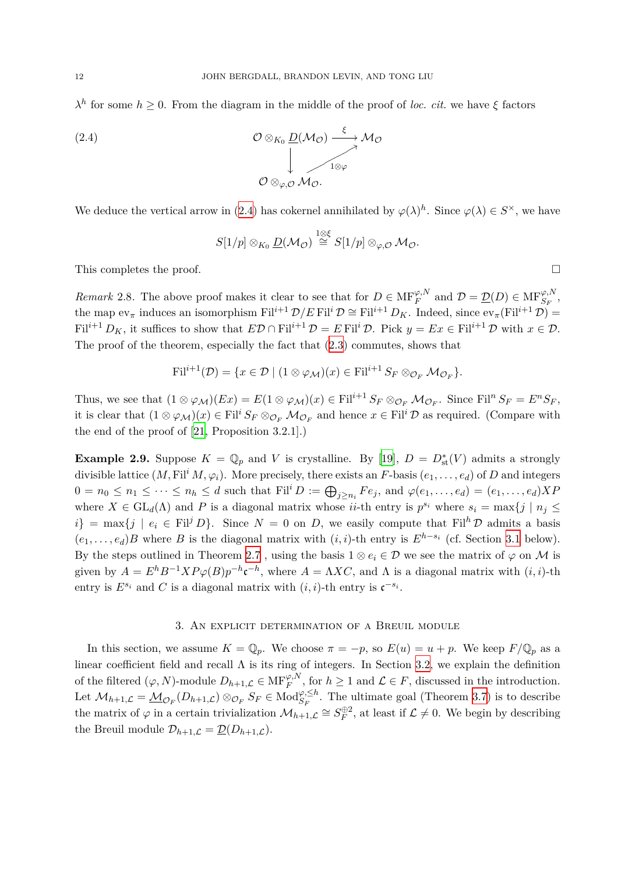*λ*<sup>*h*</sup> for some *h*  $\geq$  0. From the diagram in the middle of the proof of *loc. cit.* we have *ξ* factors

(2.4) 
$$
\mathcal{O}\otimes_{K_0}\underline{D}(\mathcal{M}_{\mathcal{O}})\xrightarrow{\xi}\mathcal{M}_{\mathcal{O}}
$$

$$
\downarrow \qquad \qquad \downarrow \qquad \qquad \downarrow \qquad \qquad \downarrow \qquad \qquad \downarrow \qquad \qquad \downarrow \qquad \qquad \downarrow \qquad \qquad \downarrow \qquad \qquad \downarrow \qquad \qquad \downarrow \qquad \qquad \downarrow \qquad \qquad \downarrow \qquad \qquad \downarrow \qquad \qquad \downarrow \qquad \qquad \downarrow \qquad \qquad \downarrow \qquad \qquad \downarrow \qquad \qquad \downarrow \qquad \qquad \downarrow \qquad \qquad \downarrow \qquad \qquad \downarrow \qquad \qquad \downarrow \qquad \qquad \downarrow \qquad \qquad \downarrow \qquad \qquad \downarrow \qquad \qquad \downarrow \qquad \qquad \downarrow \qquad \qquad \downarrow \qquad \qquad \downarrow \qquad \qquad \downarrow \qquad \qquad \downarrow \qquad \qquad \downarrow \qquad \qquad \downarrow \qquad \qquad \downarrow \qquad \qquad \downarrow \qquad \qquad \downarrow \qquad \qquad \downarrow \qquad \qquad \downarrow \qquad \qquad \downarrow \qquad \qquad \downarrow \qquad \qquad \downarrow \qquad \qquad \downarrow \qquad \qquad \downarrow \qquad \qquad \downarrow \qquad \qquad \downarrow \qquad \qquad \downarrow \qquad \qquad \downarrow \qquad \qquad \downarrow \qquad \qquad \downarrow \qquad \qquad \downarrow \qquad \qquad \downarrow \qquad \qquad \downarrow \qquad \qquad \downarrow \qquad \qquad \downarrow \qquad \qquad \downarrow \qquad \qquad \downarrow \qquad \qquad \downarrow \qquad \qquad \downarrow \qquad \qquad \downarrow \qquad \qquad \downarrow \qquad \qquad \downarrow \qquad \qquad \downarrow \qquad \qquad \downarrow \qquad \qquad \downarrow \qquad \qquad \downarrow \qquad \qquad \downarrow \qquad \qquad \downarrow \qquad \qquad \downarrow \qquad \qquad \downarrow \qquad \qquad \downarrow \qquad \qquad \downarrow \qquad \qquad \downarrow \qquad \qquad \downarrow \qquad \qquad \downarrow \qquad \qquad \downarrow \qquad \qquad \downarrow \qquad \qquad \downarrow \qquad \qquad \downarrow \qquad \qquad \
$$

We deduce the vertical arrow in ([2.4\)](#page-12-2) has cokernel annihilated by  $\varphi(\lambda)^h$ . Since  $\varphi(\lambda) \in S^{\times}$ , we have

<span id="page-12-2"></span>
$$
S[1/p] \otimes_{K_0} \underline{D}(\mathcal{M}_{\mathcal{O}}) \stackrel{1 \otimes \xi}{\cong} S[1/p] \otimes_{\varphi, \mathcal{O}} \mathcal{M}_{\mathcal{O}}.
$$

This completes the proof.  $\Box$ 

<span id="page-12-3"></span>*Remark* 2.8. The above proof makes it clear to see that for  $D \in \text{MF}_F^{\varphi,N}$  and  $\mathcal{D} = \underline{\mathcal{D}}(D) \in \text{MF}_{S_F}^{\varphi,N}$ , the map  $ev_\pi$  induces an isomorphism  $\text{Fil}^{i+1} \mathcal{D}/E \text{Fil}^i \mathcal{D} \cong \text{Fil}^{i+1} D_K$ . Indeed, since  $ev_\pi(\text{Fil}^{i+1} \mathcal{D}) =$ Fil<sup>*i*+1</sup> *D<sub>K</sub>*, it suffices to show that  $E\mathcal{D} \cap \text{Fil}^{i+1}\mathcal{D} = E \text{Fil}^i\mathcal{D}$ . Pick  $y = Ex \in \text{Fil}^{i+1}\mathcal{D}$  with  $x \in \mathcal{D}$ . The proof of the theorem, especially the fact that ([2.3\)](#page-11-1) commutes, shows that

$$
\mathrm{Fil}^{i+1}(\mathcal{D}) = \{x \in \mathcal{D} \mid (1 \otimes \varphi_{\mathcal{M}})(x) \in \mathrm{Fil}^{i+1} S_F \otimes_{\mathcal{O}_F} \mathcal{M}_{\mathcal{O}_F}\}.
$$

Thus, we see that  $(1 \otimes \varphi_M)(Ex) = E(1 \otimes \varphi_M)(x) \in \text{Fil}^{i+1} S_F \otimes_{\mathcal{O}_F} \mathcal{M}_{\mathcal{O}_F}$ . Since  $\text{Fil}^n S_F = E^n S_F$ , it is clear that  $(1 \otimes \varphi_M)(x) \in \text{Fil}^i S_F \otimes_{\mathcal{O}_F} \mathcal{M}_{\mathcal{O}_F}$  and hence  $x \in \text{Fil}^i \mathcal{D}$  as required. (Compare with the end of the proof of [[21](#page-23-14), Proposition 3.2.1].)

<span id="page-12-4"></span>**Example 2.9.** Suppose  $K = \mathbb{Q}_p$  and *V* is crystalline. By [[19\]](#page-23-15),  $D = D_{st}^*(V)$  admits a strongly divisible lattice  $(M, \mathrm{Fil}^i M, \varphi_i)$ . More precisely, there exists an *F*-basis  $(e_1, \ldots, e_d)$  of *D* and integers  $0 = n_0 \le n_1 \le \cdots \le n_h \le d$  such that  $\text{Fil}^i D := \bigoplus_{j \ge n_i} F e_j$ , and  $\varphi(e_1, \ldots, e_d) = (e_1, \ldots, e_d) X F$ where  $X \in GL_d(\Lambda)$  and P is a diagonal matrix whose *ii*-th entry is  $p^{s_i}$  where  $s_i = \max\{j \mid n_j \leq j \leq n_j\}$  $i$ <sup>}</sup> = max{*j* |  $e_i \in \text{Fil}^j D$ }. Since  $N = 0$  on *D*, we easily compute that Fil<sup>h</sup> *D* admits a basis  $(e_1, \ldots, e_d)B$  where *B* is the diagonal matrix with  $(i, i)$ -th entry is  $E^{h-s_i}$  (cf. Section [3.1](#page-13-0) below). By the steps outlined in Theorem [2.7](#page-11-0), using the basis  $1 \otimes e_i \in \mathcal{D}$  we see the matrix of  $\varphi$  on *M* is given by  $A = E^{h}B^{-1}XP\varphi(B)p^{-h}c^{-h}$ , where  $A = \Lambda XC$ , and  $\Lambda$  is a diagonal matrix with  $(i, i)$ -th entry is  $E^{s_i}$  and *C* is a diagonal matrix with  $(i, i)$ -th entry is  $\mathfrak{c}^{-s_i}$ .

#### 3. An explicit determination of a Breuil module

<span id="page-12-1"></span><span id="page-12-0"></span>In this section, we assume  $K = \mathbb{Q}_p$ . We choose  $\pi = -p$ , so  $E(u) = u + p$ . We keep  $F/\mathbb{Q}_p$  as a linear coefficient field and recall  $\Lambda$  is its ring of integers. In Section [3.2](#page-15-0), we explain the definition of the filtered  $(\varphi, N)$ -module  $D_{h+1,\mathcal{L}} \in \mathcal{MF}_{F}^{\varphi,N}$ , for  $h \geq 1$  and  $\mathcal{L} \in F$ , discussed in the introduction. Let  $\mathcal{M}_{h+1,\mathcal{L}} = \underline{\mathcal{M}}_{\mathcal{O}_F}(D_{h+1,\mathcal{L}}) \otimes_{\mathcal{O}_F} S_F \in \text{Mod}_{S_F}^{\varphi,\leq h}$ . The ultimate goal (Theorem [3.7](#page-15-1)) is to describe the matrix of  $\varphi$  in a certain trivialization  $\mathcal{M}_{h+1,\mathcal{L}} \cong S_F^{\oplus 2}$ , at least if  $\mathcal{L} \neq 0$ . We begin by describing the Breuil module  $\mathcal{D}_{h+1,\mathcal{L}} = \underline{\mathcal{D}}(D_{h+1,\mathcal{L}}).$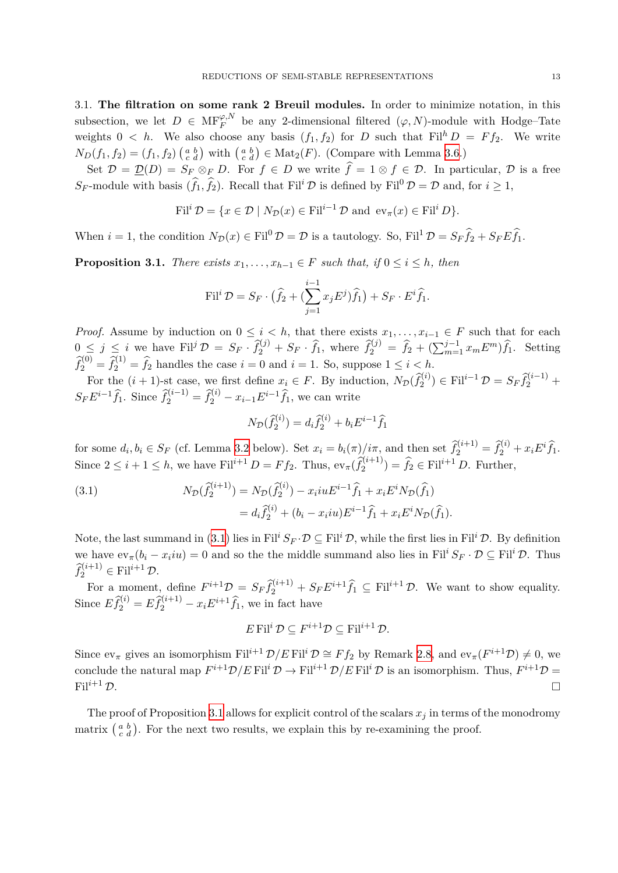<span id="page-13-0"></span>3.1. **The filtration on some rank 2 Breuil modules.** In order to minimize notation, in this subsection, we let  $D \in \mathrm{MF}_F^{\varphi,N}$  be any 2-dimensional filtered  $(\varphi, N)$ -module with Hodge–Tate weights  $0 < h$ . We also choose any basis  $(f_1, f_2)$  for *D* such that Fil<sup>h</sup>  $D = F f_2$ . We write  $N_D(f_1, f_2) = (f_1, f_2) \begin{pmatrix} a & b \\ c & d \end{pmatrix}$  with  $\begin{pmatrix} a & b \\ c & d \end{pmatrix} \in \text{Mat}_2(F)$ . (Compare with Lemma [3.6.](#page-15-2))

Set  $\mathcal{D} = \mathcal{D}(D) = S_F \otimes_F D$ . For  $f \in D$  we write  $\hat{f} = 1 \otimes f \in \mathcal{D}$ . In particular,  $\mathcal D$  is a free *S*<sub>*F*</sub>-module with basis  $(\hat{f}_1, \hat{f}_2)$ . Recall that Fil<sup>*i*</sup>  $\mathcal{D}$  is defined by Fil<sup>0</sup>  $\mathcal{D} = \mathcal{D}$  and, for *i*  $\geq 1$ ,

$$
\mathrm{Fil}^i \mathcal{D} = \{ x \in \mathcal{D} \mid N_{\mathcal{D}}(x) \in \mathrm{Fil}^{i-1} \mathcal{D} \text{ and } \mathrm{ev}_{\pi}(x) \in \mathrm{Fil}^i D \}.
$$

When  $i = 1$ , the condition  $N_{\mathcal{D}}(x) \in \text{Fil}^0 \mathcal{D} = \mathcal{D}$  is a tautology. So,  $\text{Fil}^1 \mathcal{D} = S_F \hat{f}_2 + S_F E \hat{f}_1$ .

<span id="page-13-2"></span>**Proposition 3.1.** *There exists*  $x_1, \ldots, x_{h-1} \in F$  *such that, if*  $0 \le i \le h$ *, then* 

$$
\text{Fil}^i \mathcal{D} = S_F \cdot \left( \widehat{f}_2 + \left( \sum_{j=1}^{i-1} x_j E^j \right) \widehat{f}_1 \right) + S_F \cdot E^i \widehat{f}_1.
$$

*Proof.* Assume by induction on  $0 \leq i \leq h$ , that there exists  $x_1, \ldots, x_{i-1} \in F$  such that for each  $0 \leq j \leq i$  we have  $\text{Fil}^j \mathcal{D} = S_F \cdot \hat{f}_2^{(j)} + S_F \cdot \hat{f}_1$ , where  $\hat{f}_2^{(j)} = \hat{f}_2 + (\sum_{m=1}^{j-1} x_m E^m) \hat{f}_1$ . Setting  $\widehat{f}_2^{(0)} = \widehat{f}_2^{(1)} = \widehat{f}_2$  handles the case  $i = 0$  and  $i = 1$ . So, suppose  $1 \leq i \leq h$ .

For the  $(i + 1)$ -st case, we first define  $x_i \in F$ . By induction,  $N_{\mathcal{D}}(\hat{f}_2^{(i)}) \in \text{Fil}^{i-1} \mathcal{D} = S_F \hat{f}_2^{(i-1)} +$  $S$ <sup>*F*</sup>*E***<sup>***i***</sup>**<sup>-1</sup></sub> $\hat{f}$ <sup>2</sup><sub>1</sub>. Since  $\hat{f}^{(i-1)}_2 = \hat{f}^{(i)}_2 - x_{i-1}E^{i-1}\hat{f}$ <sub>1</sub>, we can write

$$
N_{\mathcal{D}}(\hat{f}_{2}^{(i)}) = d_{i}\hat{f}_{2}^{(i)} + b_{i}E^{i-1}\hat{f}_{1}
$$

for some  $d_i, b_i \in S_F$  (cf. Lemma [3.2](#page-14-0) below). Set  $x_i = b_i(\pi)/i\pi$ , and then set  $\hat{f}_2^{(i+1)} = \hat{f}_2^{(i)} + x_i E^i \hat{f}_1$ . Since  $2 \leq i + 1 \leq h$ , we have Fil<sup>*i*+1</sup>  $D = F f_2$ . Thus,  $ev_{\pi}(\hat{f}_2^{(i+1)}) = \hat{f}_2 \in \text{Fil}^{i+1} D$ . Further,

<span id="page-13-1"></span>(3.1) 
$$
N_{\mathcal{D}}(\hat{f}_{2}^{(i+1)}) = N_{\mathcal{D}}(\hat{f}_{2}^{(i)}) - x_{i}iuE^{i-1}\hat{f}_{1} + x_{i}E^{i}N_{\mathcal{D}}(\hat{f}_{1})
$$

$$
= d_{i}\hat{f}_{2}^{(i)} + (b_{i} - x_{i}iu)E^{i-1}\hat{f}_{1} + x_{i}E^{i}N_{\mathcal{D}}(\hat{f}_{1}).
$$

Note, the last summand in [\(3.1](#page-13-1)) lies in Fil<sup>*i*</sup>  $S_F \cdot \mathcal{D} \subseteq \text{Fil}^i \mathcal{D}$ , while the first lies in Fil<sup>*i*</sup>  $\mathcal{D}$ . By definition we have  $ev_{\pi}(b_i - x_iiu) = 0$  and so the the middle summand also lies in Fil<sup>*i*</sup>  $S_F \cdot \mathcal{D} \subseteq \text{Fil}^i \mathcal{D}$ . Thus  $\widehat{f}_2^{(i+1)} \in \text{Fil}^{i+1} \mathcal{D}.$ 

For a moment, define  $F^{i+1}\mathcal{D} = S_F \hat{f}_2^{(i+1)} + S_F E^{i+1} \hat{f}_1 \subseteq \text{Fil}^{i+1}\mathcal{D}$ . We want to show equality. Since  $E\hat{f}_{2}^{(i)} = E\hat{f}_{2}^{(i+1)} - x_i E^{i+1}\hat{f}_{1}$ , we in fact have

$$
E\,\mathrm{Fil}^i\,\mathcal{D}\subseteq F^{i+1}\mathcal{D}\subseteq \mathrm{Fil}^{i+1}\,\mathcal{D}.
$$

Since  $ev_{\pi}$  gives an isomorphism  $Fil^{i+1} \mathcal{D}/E \text{ Fil}^i \mathcal{D} \cong F f_2$  by Remark [2.8,](#page-12-3) and  $ev_{\pi}(F^{i+1} \mathcal{D}) \neq 0$ , we conclude the natural map  $F^{i+1}\mathcal{D}/E$  Fil<sup>*i*</sup> $\mathcal{D} \to$  Fil<sup>*i*+1</sup> $\mathcal{D}/E$  Fil<sup>*i*</sup> $\mathcal{D}$  is an isomorphism. Thus,  $F^{i+1}\mathcal{D} =$ Fil<sup>i+1</sup>  $\mathcal{D}$ .

The proof of Proposition [3.1](#page-13-2) allows for explicit control of the scalars  $x_j$  in terms of the monodromy matrix  $\begin{pmatrix} a & b \\ c & d \end{pmatrix}$ . For the next two results, we explain this by re-examining the proof.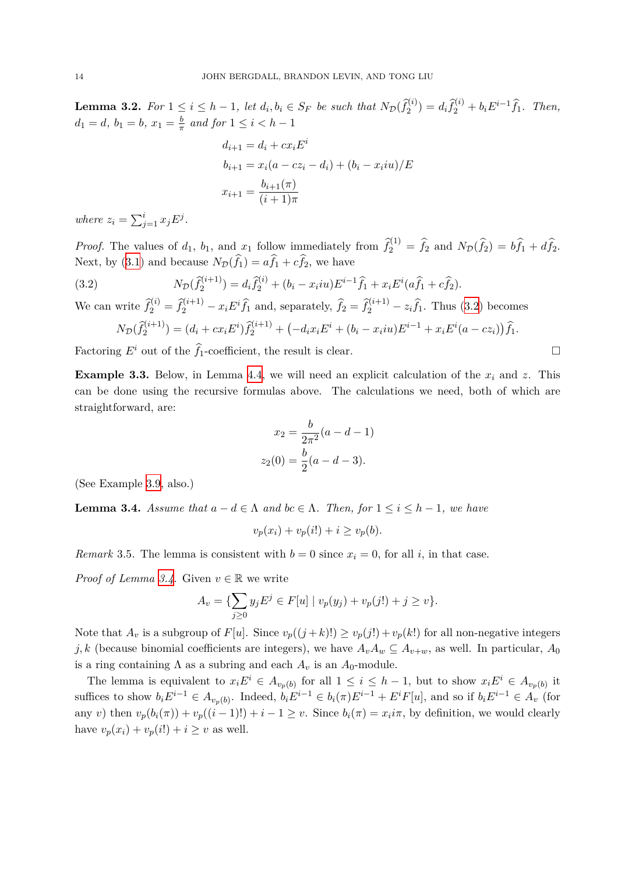<span id="page-14-0"></span>**Lemma 3.2.** For  $1 \le i \le h-1$ , let  $d_i, b_i \in S_F$  be such that  $N_{\mathcal{D}}(\hat{f}_2^{(i)}) = d_i \hat{f}_2^{(i)} + b_i E^{i-1} \hat{f}_1$ . Then,  $d_1 = d, b_1 = b, x_1 = \frac{b}{\pi}$  $\frac{b}{\pi}$  and for  $1 \leq i < h-1$ 

$$
d_{i+1} = d_i + cx_i E^i
$$
  
\n
$$
b_{i+1} = x_i (a - cz_i - d_i) + (b_i - x_i iu) / E
$$
  
\n
$$
x_{i+1} = \frac{b_{i+1}(\pi)}{(i+1)\pi}
$$

*where*  $z_i = \sum_{j=1}^i x_j E^j$ .

*Proof.* The values of  $d_1$ ,  $b_1$ , and  $x_1$  follow immediately from  $\hat{f}_2^{(1)} = \hat{f}_2$  and  $N_{\mathcal{D}}(\hat{f}_2) = b\hat{f}_1 + d\hat{f}_2$ . Next, by [\(3.1](#page-13-1)) and because  $N_{\mathcal{D}}(\hat{f}_1) = a\hat{f}_1 + c\hat{f}_2$ , we have

<span id="page-14-1"></span>(3.2) 
$$
N_{\mathcal{D}}(\widehat{f}_{2}^{(i+1)}) = d_{i}\widehat{f}_{2}^{(i)} + (b_{i} - x_{i}iu)E^{i-1}\widehat{f}_{1} + x_{i}E^{i}(a\widehat{f}_{1} + c\widehat{f}_{2}).
$$

We can write  $\hat{f}_2^{(i)} = \hat{f}_2^{(i+1)} - x_i E^i \hat{f}_1$  and, separately,  $\hat{f}_2 = \hat{f}_2^{(i+1)} - z_i \hat{f}_1$ . Thus ([3.2](#page-14-1)) becomes  $N_{\mathcal{D}}(\widehat{f}_2^{(i+1)}) = (d_i + cx_i E^i)\widehat{f}_2^{(i+1)} + (-d_i x_i E^i + (b_i - x_i i u) E^{i-1} + x_i E^i (a - cz_i))\widehat{f}_1.$ 

Factoring  $E^i$  out of the  $\hat{f}_1$ -coefficient, the result is clear. □

<span id="page-14-4"></span>**Example 3.3.** Below, in Lemma [4.4](#page-17-0), we will need an explicit calculation of the *x<sup>i</sup>* and *z*. This can be done using the recursive formulas above. The calculations we need, both of which are straightforward, are:

$$
x_2 = \frac{b}{2\pi^2}(a - d - 1)
$$

$$
z_2(0) = \frac{b}{2}(a - d - 3).
$$

(See Example [3.9,](#page-16-3) also.)

<span id="page-14-2"></span>**Lemma 3.4.** *Assume that*  $a - d \in \Lambda$  *and*  $bc \in \Lambda$ *. Then, for*  $1 \leq i \leq h - 1$ *, we have* 

$$
v_p(x_i) + v_p(i!) + i \ge v_p(b).
$$

<span id="page-14-3"></span>*Remark* 3.5. The lemma is consistent with  $b = 0$  since  $x_i = 0$ , for all *i*, in that case.

*Proof of Lemma [3.4](#page-14-2).* Given  $v \in \mathbb{R}$  we write

$$
A_v = \{ \sum_{j \ge 0} y_j E^j \in F[u] \mid v_p(y_j) + v_p(j!) + j \ge v \}.
$$

Note that  $A_v$  is a subgroup of  $F[u]$ . Since  $v_p((j+k)!) \ge v_p(j!) + v_p(k!)$  for all non-negative integers *j*, k (because binomial coefficients are integers), we have  $A_vA_w \subseteq A_{v+w}$ , as well. In particular,  $A_0$ is a ring containing  $\Lambda$  as a subring and each  $A_v$  is an  $A_0$ -module.

The lemma is equivalent to  $x_i E^i \in A_{v_p(b)}$  for all  $1 \leq i \leq h-1$ , but to show  $x_i E^i \in A_{v_p(b)}$  it suffices to show  $b_i E^{i-1} \in A_{v_p(b)}$ . Indeed,  $b_i E^{i-1} \in b_i(\pi) E^{i-1} + E^i F[u]$ , and so if  $b_i E^{i-1} \in A_v$  (for any v) then  $v_p(b_i(\pi)) + v_p((i-1)!) + i - 1 \ge v$ . Since  $b_i(\pi) = x_i i\pi$ , by definition, we would clearly have  $v_p(x_i) + v_p(i!) + i \geq v$  as well.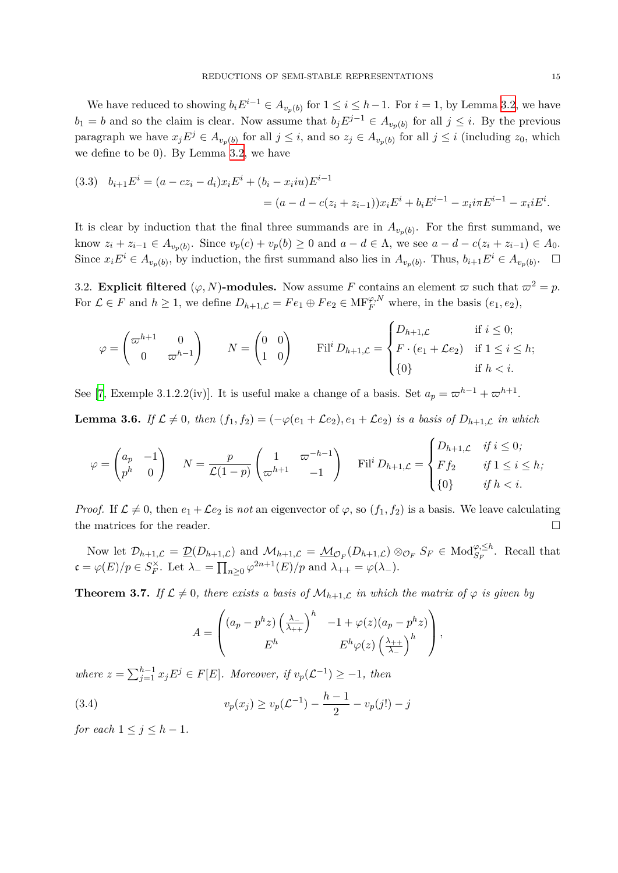We have reduced to showing  $b_i E^{i-1} \in A_{v_p(b)}$  for  $1 \leq i \leq h-1$ . For  $i = 1$ , by Lemma [3.2,](#page-14-0) we have  $b_1 = b$  and so the claim is clear. Now assume that  $b_j E^{j-1} \in A_{v_p(b)}$  for all  $j \leq i$ . By the previous paragraph we have  $x_j E^j \in A_{v_p(b)}$  for all  $j \leq i$ , and so  $z_j \in A_{v_p(b)}$  for all  $j \leq i$  (including  $z_0$ , which we define to be 0). By Lemma [3.2](#page-14-0), we have

(3.3) 
$$
b_{i+1}E^i = (a - cz_i - d_i)x_iE^i + (b_i - x_iiu)E^{i-1} = (a - d - c(z_i + z_{i-1}))x_iE^i + b_iE^{i-1} - x_i i\pi E^{i-1} - x_i iE^i.
$$

It is clear by induction that the final three summands are in  $A_{v_p(b)}$ . For the first summand, we know  $z_i + z_{i-1} \in A_{v_p(b)}$ . Since  $v_p(c) + v_p(b) \ge 0$  and  $a - d \in \Lambda$ , we see  $a - d - c(z_i + z_{i-1}) \in A_0$ . Since  $x_i E^i \in A_{v_p(b)}$ , by induction, the first summand also lies in  $A_{v_p(b)}$ . Thus,  $b_{i+1} E^i \in A_{v_p(b)}$ .  $\Box$ 

<span id="page-15-0"></span>3.2. **Explicit filtered**  $(\varphi, N)$ -modules. Now assume *F* contains an element  $\varpi$  such that  $\varpi^2 = p$ . For  $\mathcal{L} \in F$  and  $h \geq 1$ , we define  $D_{h+1,\mathcal{L}} = Fe_1 \oplus Fe_2 \in \text{MF}_F^{\varphi,N}$  where, in the basis  $(e_1, e_2)$ ,

$$
\varphi = \begin{pmatrix} \n\varpi^{h+1} & 0 \\ \n0 & \varpi^{h-1} \n\end{pmatrix} \qquad N = \begin{pmatrix} 0 & 0 \\ \n1 & 0 \n\end{pmatrix} \qquad \text{Fil}^i D_{h+1,\mathcal{L}} = \begin{cases} \nD_{h+1,\mathcal{L}} & \text{if } i \leq 0; \\ \nF \cdot (e_1 + \mathcal{L}e_2) & \text{if } 1 \leq i \leq h; \\ \n\{0\} & \text{if } h < i. \n\end{cases}
$$

See [\[7,](#page-22-1) Exemple 3.1.2.2(iv)]. It is useful make a change of a basis. Set  $a_p = \omega^{h-1} + \omega^{h+1}$ .

<span id="page-15-2"></span>**Lemma 3.6.** If  $\mathcal{L} \neq 0$ , then  $(f_1, f_2) = (-\varphi(e_1 + \mathcal{L}e_2), e_1 + \mathcal{L}e_2)$  is a basis of  $D_{h+1,\mathcal{L}}$  in which

$$
\varphi = \begin{pmatrix} a_p & -1 \\ p^h & 0 \end{pmatrix} \quad N = \frac{p}{\mathcal{L}(1-p)} \begin{pmatrix} 1 & \varpi^{-h-1} \\ \varpi^{h+1} & -1 \end{pmatrix} \quad \text{Fil}^i D_{h+1,\mathcal{L}} = \begin{cases} D_{h+1,\mathcal{L}} & \text{if } i \le 0; \\ F f_2 & \text{if } 1 \le i \le h; \\ \{0\} & \text{if } h < i. \end{cases}
$$

*Proof.* If  $\mathcal{L} \neq 0$ , then  $e_1 + \mathcal{L}e_2$  is *not* an eigenvector of  $\varphi$ , so  $(f_1, f_2)$  is a basis. We leave calculating the matrices for the reader.  $\Box$ 

Now let  $\mathcal{D}_{h+1,\mathcal{L}} = \underline{\mathcal{D}}(D_{h+1,\mathcal{L}})$  and  $\mathcal{M}_{h+1,\mathcal{L}} = \underline{\mathcal{M}}_{\mathcal{O}_F}(D_{h+1,\mathcal{L}}) \otimes_{\mathcal{O}_F} S_F \in \text{Mod}_{S_F}^{\varphi,\leq h}$ . Recall that  $\mathfrak{c} = \varphi(E)/p \in S_F^{\times}$ . Let  $\lambda_{-} = \prod_{n \geq 0} \varphi^{2n+1}(E)/p$  and  $\lambda_{++} = \varphi(\lambda_{-})$ .

<span id="page-15-1"></span>**Theorem 3.7.** *If*  $\mathcal{L} \neq 0$ , there exists a basis of  $\mathcal{M}_{h+1,\mathcal{L}}$  in which the matrix of  $\varphi$  is given by

<span id="page-15-3"></span>
$$
A = \begin{pmatrix} (a_p - p^h z) \left(\frac{\lambda_-}{\lambda_{++}}\right)^h & -1 + \varphi(z) (a_p - p^h z) \\ E^h & E^h \varphi(z) \left(\frac{\lambda_{++}}{\lambda_-}\right)^h \end{pmatrix},
$$

*where*  $z = \sum_{j=1}^{h-1} x_j E^j \in F[E]$ *. Moreover, if*  $v_p(\mathcal{L}^{-1}) \geq -1$ *, then* 

(3.4) 
$$
v_p(x_j) \ge v_p(\mathcal{L}^{-1}) - \frac{h-1}{2} - v_p(j!) - j
$$

*for each*  $1 \leq j \leq h-1$ *.*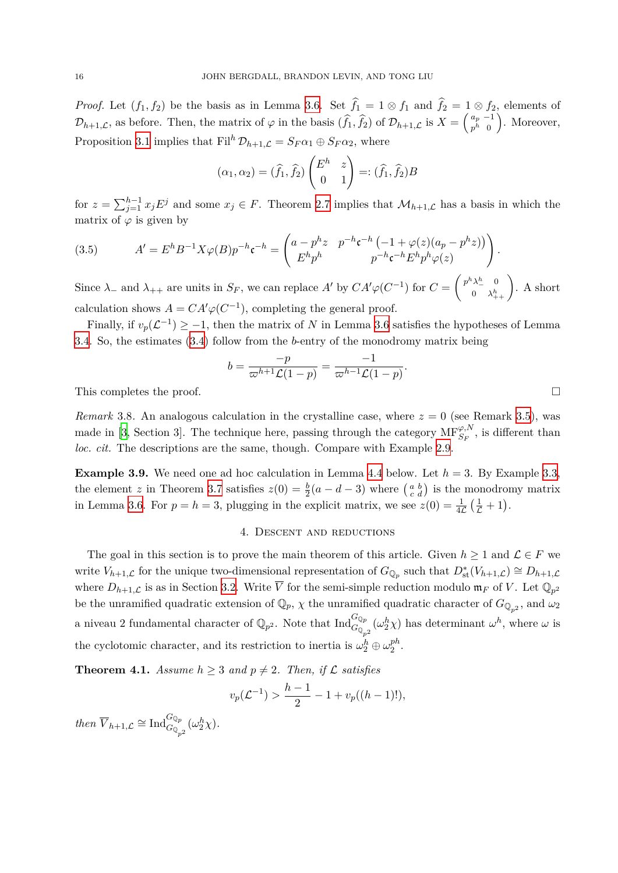*Proof.* Let  $(f_1, f_2)$  be the basis as in Lemma [3.6.](#page-15-2) Set  $\hat{f}_1 = 1 \otimes f_1$  and  $\hat{f}_2 = 1 \otimes f_2$ , elements of  $\mathcal{D}_{h+1,\mathcal{L}}$ , as before. Then, the matrix of  $\varphi$  in the basis  $(\widehat{f}_1, \widehat{f}_2)$  of  $\mathcal{D}_{h+1,\mathcal{L}}$  is  $X = \begin{pmatrix} a_p & -1 \\ p^h & 0 \end{pmatrix}$  $\binom{a_p-1}{p^h\ 0}$ . Moreover, Proposition [3.1](#page-13-2) implies that  $\text{Fil}^h \mathcal{D}_{h+1,\mathcal{L}} = S_F \alpha_1 \oplus S_F \alpha_2$ , where

$$
(\alpha_1, \alpha_2) = (\widehat{f}_1, \widehat{f}_2) \begin{pmatrix} E^h & z \\ 0 & 1 \end{pmatrix} =: (\widehat{f}_1, \widehat{f}_2)B
$$

for  $z = \sum_{j=1}^{h-1} x_j E^j$  and some  $x_j \in F$ . Theorem [2.7](#page-11-0) implies that  $\mathcal{M}_{h+1,\mathcal{L}}$  has a basis in which the matrix of  $\varphi$  is given by

(3.5) 
$$
A' = E^h B^{-1} X \varphi(B) p^{-h} \mathfrak{c}^{-h} = \begin{pmatrix} a - p^h z & p^{-h} \mathfrak{c}^{-h} \left( -1 + \varphi(z) (a_p - p^h z) \right) \\ E^h p^h & p^{-h} \mathfrak{c}^{-h} E^h p^h \varphi(z) \end{pmatrix}.
$$

Since  $\lambda_-$  and  $\lambda_{++}$  are units in  $S_F$ , we can replace  $A'$  by  $CA'\varphi(C^{-1})$  for  $C = \begin{pmatrix} p^h\lambda_-^h & 0 \\ 0 & \lambda_{++}^h \end{pmatrix}$ . A short calculation shows  $A = CA'\varphi(C^{-1})$ , completing the general proof.

Finally, if  $v_p(\mathcal{L}^{-1}) \geq -1$ , then the matrix of *N* in Lemma [3.6](#page-15-2) satisfies the hypotheses of Lemma [3.4.](#page-14-2) So, the estimates [\(3.4\)](#page-15-3) follow from the *b*-entry of the monodromy matrix being

$$
b=\frac{-p}{\varpi^{h+1}\mathcal{L}(1-p)}=\frac{-1}{\varpi^{h-1}\mathcal{L}(1-p)}.
$$

This completes the proof.  $\Box$ 

*Remark* 3.8. An analogous calculation in the crystalline case, where  $z = 0$  (see Remark [3.5](#page-14-3)), was made in [[3](#page-22-6), Section 3]. The technique here, passing through the category  $MF_{S_F}^{\varphi,N}$ , is different than *loc. cit.* The descriptions are the same, though. Compare with Example [2.9](#page-12-4).

<span id="page-16-3"></span><span id="page-16-0"></span>**Example 3.9.** We need one ad hoc calculation in Lemma [4.4](#page-17-0) below. Let  $h = 3$ . By Example [3.3,](#page-14-4) the element *z* in Theorem [3.7](#page-15-1) satisfies  $z(0) = \frac{b}{2}(a - d - 3)$  where  $\begin{pmatrix} a & b \\ c & d \end{pmatrix}$  is the monodromy matrix in Lemma [3.6.](#page-15-2) For  $p = h = 3$ , plugging in the explicit matrix, we see  $z(0) = \frac{1}{4\mathcal{L}} \left( \frac{1}{\mathcal{L}} + 1 \right)$ .

#### 4. Descent and reductions

<span id="page-16-2"></span>The goal in this section is to prove the main theorem of this article. Given  $h \geq 1$  and  $\mathcal{L} \in F$  we write  $V_{h+1,\mathcal{L}}$  for the unique two-dimensional representation of  $G_{\mathbb{Q}_p}$  such that  $D^*_{st}(V_{h+1,\mathcal{L}}) \cong D_{h+1,\mathcal{L}}$ where  $D_{h+1,\mathcal{L}}$  is as in Section [3.2](#page-15-0). Write  $\overline{V}$  for the semi-simple reduction modulo  $\mathfrak{m}_F$  of V. Let  $\mathbb{Q}_{p^2}$ be the unramified quadratic extension of  $\mathbb{Q}_p$ ,  $\chi$  the unramified quadratic character of  $G_{\mathbb{Q}_{p^2}}$ , and  $\omega_2$ a niveau 2 fundamental character of  $\mathbb{Q}_{p^2}$ . Note that  $\text{Ind}_{G_{\mathbb{Q}_{p^2}}}^{G_{\mathbb{Q}_p}}(\omega_2^h \chi)$  has determinant  $\omega^h$ , where  $\omega$  is the cyclotomic character, and its restriction to inertia is  $\omega_2^h \oplus \omega_2^{ph}$  $_2^{pn}$  .

<span id="page-16-1"></span>**Theorem 4.1.** *Assume*  $h \geq 3$  *and*  $p \neq 2$ *. Then, if*  $\mathcal{L}$  *satisfies* 

$$
v_p(\mathcal{L}^{-1}) > \frac{h-1}{2} - 1 + v_p((h-1)!),
$$

*then*  $\overline{V}_{h+1,\mathcal{L}} \cong \text{Ind}_{G_{\mathbb{Q}_{p^2}}}^{G_{\mathbb{Q}_p}}(\omega_2^h \chi)$ *.*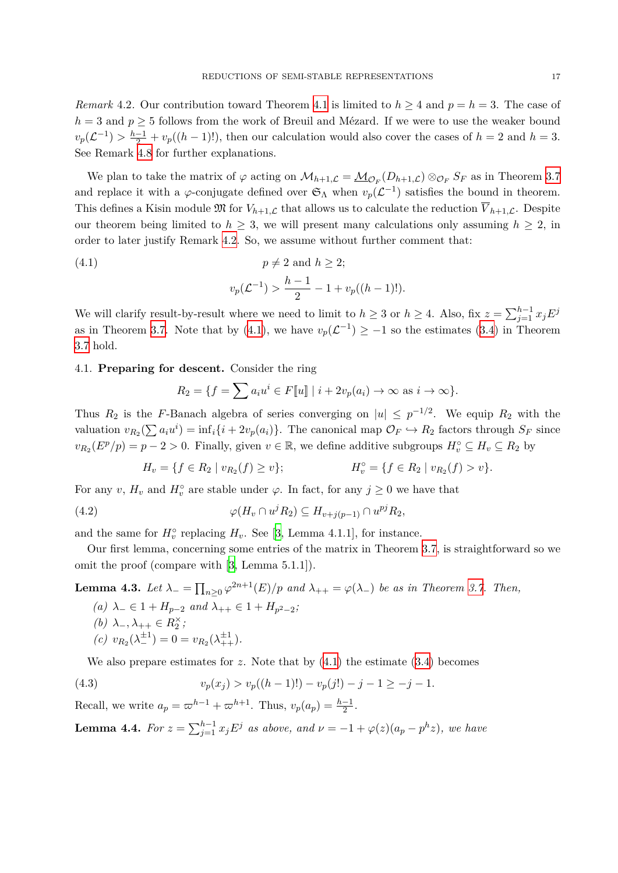<span id="page-17-1"></span>*Remark* 4.2. Our contribution toward Theorem [4.1](#page-16-1) is limited to  $h \geq 4$  and  $p = h = 3$ . The case of  $h = 3$  and  $p > 5$  follows from the work of Breuil and Mézard. If we were to use the weaker bound  $v_p(\mathcal{L}^{-1}) > \frac{h-1}{2} + v_p((h-1)!)$ , then our calculation would also cover the cases of  $h = 2$  and  $h = 3$ . See Remark [4.8](#page-22-2) for further explanations.

We plan to take the matrix of  $\varphi$  acting on  $\mathcal{M}_{h+1,\mathcal{L}} = \underline{\mathcal{M}}_{\mathcal{O}_F}(D_{h+1,\mathcal{L}}) \otimes_{\mathcal{O}_F} S_F$  as in Theorem [3.7](#page-15-1) and replace it with a  $\varphi$ -conjugate defined over  $\mathfrak{S}_{\Lambda}$  when  $v_p(\mathcal{L}^{-1})$  satisfies the bound in theorem. This defines a Kisin module  $\mathfrak{M}$  for  $V_{h+1,\mathcal{L}}$  that allows us to calculate the reduction  $\overline{V}_{h+1,\mathcal{L}}$ . Despite our theorem being limited to  $h \geq 3$ , we will present many calculations only assuming  $h \geq 2$ , in order to later justify Remark [4.2](#page-17-1). So, we assume without further comment that:

<span id="page-17-2"></span>(4.1) 
$$
p \neq 2
$$
 and  $h \geq 2$ ;  

$$
v_p(\mathcal{L}^{-1}) > \frac{h-1}{2} - 1 + v_p((h-1)!).
$$

We will clarify result-by-result where we need to limit to  $h \geq 3$  or  $h \geq 4$ . Also, fix  $z = \sum_{j=1}^{h-1} x_j E^j$ as in Theorem [3.7](#page-15-1). Note that by ([4.1\)](#page-17-2), we have  $v_p(\mathcal{L}^{-1}) \geq -1$  so the estimates [\(3.4](#page-15-3)) in Theorem [3.7](#page-15-1) hold.

### <span id="page-17-7"></span>4.1. **Preparing for descent.** Consider the ring

$$
R_2 = \{ f = \sum a_i u^i \in F[\![u]\!]
$$
  $| i + 2v_p(a_i) \to \infty$  as  $i \to \infty \}.$ 

Thus  $R_2$  is the *F*-Banach algebra of series converging on  $|u| \leq p^{-1/2}$ . We equip  $R_2$  with the valuation  $v_{R_2}(\sum a_i u^i) = \inf_i \{i + 2v_p(a_i)\}\.$  The canonical map  $\mathcal{O}_F \hookrightarrow R_2$  factors through  $S_F$  since  $v_{R_2}(E^p/p) = p - 2 > 0$ . Finally, given  $v \in \mathbb{R}$ , we define additive subgroups  $H_v^\circ \subseteq H_v \subseteq R_2$  by

<span id="page-17-4"></span>
$$
H_v = \{ f \in R_2 \mid v_{R_2}(f) \ge v \}; \qquad H_v^{\circ} = \{ f \in R_2 \mid v_{R_2}(f) > v \}.
$$

For any *v*,  $H_v$  and  $H_v^{\circ}$  are stable under  $\varphi$ . In fact, for any  $j \geq 0$  we have that

(4.2) 
$$
\varphi(H_v \cap u^j R_2) \subseteq H_{v+j(p-1)} \cap u^{pj} R_2,
$$

and the same for  $H_v^{\circ}$  replacing  $H_v$ . See [\[3,](#page-22-6) Lemma 4.1.1], for instance.

Our first lemma, concerning some entries of the matrix in Theorem [3.7,](#page-15-1) is straightforward so we omit the proof (compare with [[3](#page-22-6), Lemma 5.1.1]).

<span id="page-17-6"></span><span id="page-17-5"></span>**Lemma 4.3.** *Let*  $\lambda_-\equiv \prod_{n\geq 0} \varphi^{2n+1}(E)/p$  *and*  $\lambda_{++}=\varphi(\lambda_-)$  *be as in Theorem [3.7](#page-15-1). Then,* 

*(a)*  $λ$ <sub>−</sub>  $∈$  1 +  $H$ <sub>*p*−2</sub> *and*  $λ$ <sub>++</sub>  $∈$  1 +  $H$ <sub>*p*<sup>2</sup>−2</sub>; *(b)*  $λ$ <sub>−</sub>,  $λ$ <sub>++</sub>  $∈$   $R_2^{\times}$ ;  $(c)$   $v_{R_2}(\lambda_{-}^{\pm 1}) = 0 = v_{R_2}(\lambda_{++}^{\pm 1}).$ 

<span id="page-17-3"></span>We also prepare estimates for  $z$ . Note that by  $(4.1)$  $(4.1)$  the estimate  $(3.4)$  $(3.4)$  becomes

(4.3) 
$$
v_p(x_j) > v_p((h-1)!)-v_p(j!)-j-1 \ge -j-1.
$$

Recall, we write  $a_p = \omega^{h-1} + \omega^{h+1}$ . Thus,  $v_p(a_p) = \frac{h-1}{2}$ .

<span id="page-17-0"></span>**Lemma 4.4.** For  $z = \sum_{j=1}^{h-1} x_j E^j$  as above, and  $\nu = -1 + \varphi(z)(a_p - p^h z)$ , we have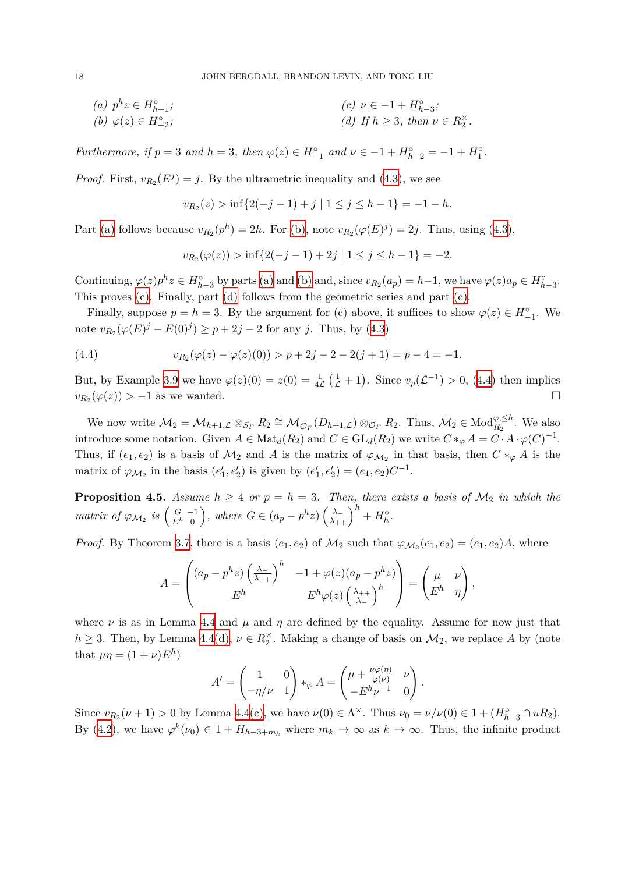<span id="page-18-1"></span><span id="page-18-0"></span>
$$
(a) \quad p^h z \in H_{h-1}^{\circ};
$$
\n
$$
(b) \quad \varphi(z) \in H_{-2}^{\circ};
$$
\n
$$
(c) \quad \nu \in -1 + H_{h-3}^{\circ};
$$
\n
$$
(d) \quad If \quad h \ge 3, \ then \quad \nu \in R_2^{\times}.
$$

Furthermore, if  $p = 3$  and  $h = 3$ , then  $\varphi(z) \in H_{-1}^{\circ}$  and  $\nu \in -1 + H_{h-2}^{\circ} = -1 + H_1^{\circ}$ .

*Proof.* First,  $v_{R_2}(E^j) = j$ . By the ultrametric inequality and ([4.3\)](#page-17-3), we see

<span id="page-18-3"></span><span id="page-18-2"></span>
$$
v_{R_2}(z) > \inf\{2(-j-1)+j \mid 1 \le j \le h-1\} = -1 - h.
$$

Part [\(a\)](#page-18-0) follows because  $v_{R_2}(p^h) = 2h$ . For [\(b\)](#page-18-1), note  $v_{R_2}(\varphi(E)^j) = 2j$ . Thus, using [\(4.3](#page-17-3)),

<span id="page-18-4"></span>
$$
v_{R_2}(\varphi(z)) > \inf\{2(-j-1)+2j \mid 1 \le j \le h-1\} = -2.
$$

Continuing,  $\varphi(z)p^h z \in H_{h-3}^{\circ}$  by parts [\(a\)](#page-18-0) and [\(b\)](#page-18-1) and, since  $v_{R_2}(a_p) = h-1$ , we have  $\varphi(z)a_p \in H_{h-3}^{\circ}$ . This proves [\(c\).](#page-18-2) Finally, part [\(d\)](#page-18-3) follows from the geometric series and part [\(c\).](#page-18-2)

Finally, suppose  $p = h = 3$ . By the argument for (c) above, it suffices to show  $\varphi(z) \in H^{\circ}_{-1}$ . We note  $v_{R_2}(\varphi(E)^j - E(0)^j) \geq p + 2j - 2$  for any *j*. Thus, by ([4.3\)](#page-17-3)

(4.4) 
$$
v_{R_2}(\varphi(z) - \varphi(z)(0)) > p + 2j - 2 - 2(j + 1) = p - 4 = -1.
$$

But, by Example [3.9](#page-16-3) we have  $\varphi(z)(0) = z(0) = \frac{1}{4\mathcal{L}}(\frac{1}{\mathcal{L}}+1)$ . Since  $v_p(\mathcal{L}^{-1}) > 0$ , ([4.4\)](#page-18-4) then implies  $v_{R_2}(\varphi(z)) > -1$  as we wanted. □

We now write  $\mathcal{M}_2 = \mathcal{M}_{h+1,\mathcal{L}} \otimes_{S_F} R_2 \cong \underline{\mathcal{M}}_{\mathcal{O}_F}(D_{h+1,\mathcal{L}}) \otimes_{\mathcal{O}_F} R_2$ . Thus,  $\mathcal{M}_2 \in Mod_{R_2}^{\varphi, \leq h}$ . We also introduce some notation. Given  $A \in Mat_d(R_2)$  and  $C \in GL_d(R_2)$  we write  $C*_\varphi A = C \cdot A \cdot \varphi(C)^{-1}$ . Thus, if  $(e_1, e_2)$  is a basis of  $\mathcal{M}_2$  and *A* is the matrix of  $\varphi_{\mathcal{M}_2}$  in that basis, then  $C *_{\varphi} A$  is the matrix of  $\varphi_{\mathcal{M}_2}$  in the basis  $(e'_1, e'_2)$  is given by  $(e'_1, e'_2) = (e_1, e_2)C^{-1}$ .

<span id="page-18-5"></span>**Proposition 4.5.** *Assume*  $h \geq 4$  *or*  $p = h = 3$ *. Then, there exists a basis of*  $\mathcal{M}_2$  *in which the* matrix of  $\varphi_{\mathcal{M}_2}$  is  $\begin{pmatrix} G & -1 \\ E^h & 0 \end{pmatrix}$ , where  $G \in (a_p - p^h z) \left(\frac{\lambda_-}{\lambda_{++}}\right)^h + H_h^{\circ}$ .

*Proof.* By Theorem [3.7,](#page-15-1) there is a basis  $(e_1, e_2)$  of  $M_2$  such that  $\varphi_{M_2}(e_1, e_2) = (e_1, e_2)A$ , where

$$
A = \begin{pmatrix} (a_p - p^h z) \left(\frac{\lambda_-}{\lambda_{++}}\right)^h & -1 + \varphi(z) (a_p - p^h z) \\ E^h & E^h \varphi(z) \left(\frac{\lambda_{++}}{\lambda_-}\right)^h \end{pmatrix} = \begin{pmatrix} \mu & \nu \\ E^h & \eta \end{pmatrix},
$$

where  $\nu$  is as in Lemma [4.4](#page-17-0) and  $\mu$  and  $\eta$  are defined by the equality. Assume for now just that  $h \geq 3$ . Then, by Lemma [4.4](#page-17-0)[\(d\),](#page-18-3)  $\nu \in R_2^{\times}$ . Making a change of basis on  $\mathcal{M}_2$ , we replace *A* by (note that  $\mu\eta = (1 + \nu)E^h$ 

$$
A' = \begin{pmatrix} 1 & 0 \\ -\eta/\nu & 1 \end{pmatrix} *_{\varphi} A = \begin{pmatrix} \mu + \frac{\nu \varphi(\eta)}{\varphi(\nu)} & \nu \\ -E^h \nu^{-1} & 0 \end{pmatrix}.
$$

Since  $v_{R_2}(\nu + 1) > 0$  by Lemma [4.4](#page-17-0)[\(c\),](#page-18-2) we have  $\nu(0) \in \Lambda^\times$ . Thus  $\nu_0 = \nu/\nu(0) \in 1 + (H_{h-3}^\circ \cap uR_2)$ . By ([4.2\)](#page-17-4), we have  $\varphi^k(\nu_0) \in 1 + H_{h-3+m_k}$  where  $m_k \to \infty$  as  $k \to \infty$ . Thus, the infinite product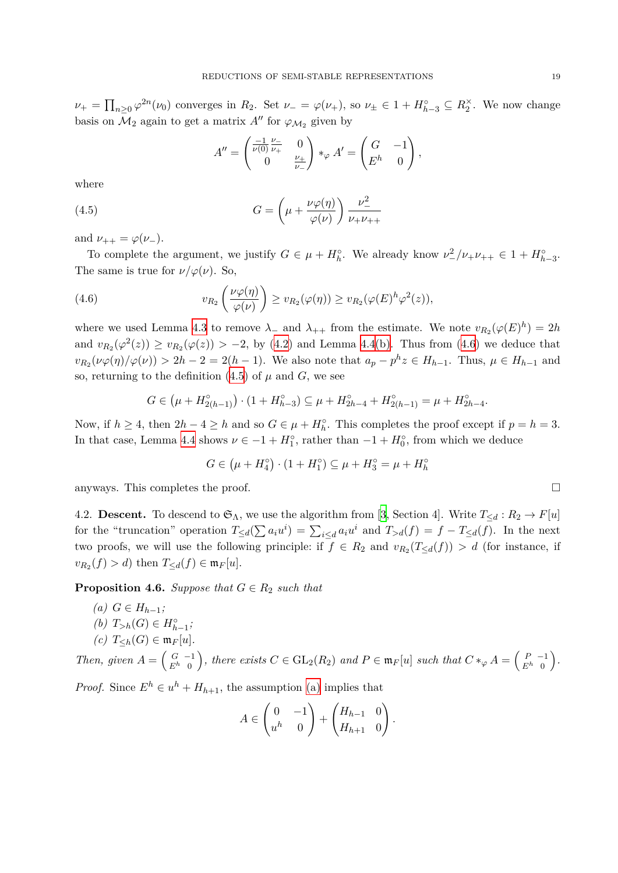$\nu_+ = \prod_{n\geq 0} \varphi^{2n}(\nu_0)$  converges in  $R_2$ . Set  $\nu_- = \varphi(\nu_+),$  so  $\nu_\pm \in 1 + H_{h-3}^\circ \subseteq R_2^\times$ . We now change basis on  $\mathcal{M}_2$  again to get a matrix  $A''$  for  $\varphi_{\mathcal{M}_2}$  given by

<span id="page-19-1"></span>
$$
A'' = \begin{pmatrix} \frac{-1}{\nu(0)} \frac{\nu_-}{\nu_+} & 0\\ 0 & \frac{\nu_+}{\nu_-} \end{pmatrix} *_{\varphi} A' = \begin{pmatrix} G & -1\\ E^h & 0 \end{pmatrix},
$$

where

(4.5) 
$$
G = \left(\mu + \frac{\nu \varphi(\eta)}{\varphi(\nu)}\right) \frac{\nu^2}{\nu_+ \nu_{++}}
$$

and  $\nu_{++} = \varphi(\nu_{-})$ .

To complete the argument, we justify  $G \in \mu + H_h^{\circ}$ . We already know  $\nu^2/\nu_+ \nu_{++} \in 1 + H_{h-3}^{\circ}$ . The same is true for  $\nu/\varphi(\nu)$ . So,

(4.6) 
$$
v_{R_2}\left(\frac{\nu\varphi(\eta)}{\varphi(\nu)}\right) \geq v_{R_2}(\varphi(\eta)) \geq v_{R_2}(\varphi(E)^h\varphi^2(z)),
$$

where we used Lemma [4.3](#page-17-5) to remove  $\lambda$ <sub>−</sub> and  $\lambda$ <sub>++</sub> from the estimate. We note  $v_{R_2}(\varphi(E)^h) = 2h$ and  $v_{R_2}(\varphi^2(z)) \ge v_{R_2}(\varphi(z)) > -2$ , by [\(4.2](#page-17-4)) and Lemma [4.4](#page-17-0)[\(b\)](#page-18-1). Thus from [\(4.6](#page-19-0)) we deduce that  $v_{R_2}(\nu\varphi(\eta)/\varphi(\nu)) > 2h-2 = 2(h-1)$ . We also note that  $a_p - p^h z \in H_{h-1}$ . Thus,  $\mu \in H_{h-1}$  and so, returning to the definition  $(4.5)$  $(4.5)$  of  $\mu$  and  $G$ , we see

<span id="page-19-0"></span>
$$
G \in (\mu + H_{2(h-1)}^{\circ}) \cdot (1 + H_{h-3}^{\circ}) \subseteq \mu + H_{2h-4}^{\circ} + H_{2(h-1)}^{\circ} = \mu + H_{2h-4}^{\circ}.
$$

Now, if  $h \geq 4$ , then  $2h - 4 \geq h$  and so  $G \in \mu + H_h^{\circ}$ . This completes the proof except if  $p = h = 3$ . In that case, Lemma [4.4](#page-17-0) shows  $\nu \in -1 + H_1^{\circ}$ , rather than  $-1 + H_0^{\circ}$ , from which we deduce

$$
G \in (\mu + H_4^{\circ}) \cdot (1 + H_1^{\circ}) \subseteq \mu + H_3^{\circ} = \mu + H_h^{\circ}
$$

anyways. This completes the proof.  $\Box$ 

4.2. **Descent.** To descend to  $\mathfrak{S}_{\Lambda}$ , we use the algorithm from [[3](#page-22-6), Section 4]. Write  $T_{\leq d}: R_2 \to F[u]$ for the "truncation" operation  $T_{\leq d}(\sum a_i u^i) = \sum_{i \leq d} a_i u^i$  and  $T_{>d}(f) = f - T_{\leq d}(f)$ . In the next two proofs, we will use the following principle: if  $f \in R_2$  and  $v_{R_2}(T_{\leq d}(f)) > d$  (for instance, if  $v_{R_2}(f) > d$ ) then  $T_{\leq d}(f) \in \mathfrak{m}_F[u]$ .

<span id="page-19-5"></span><span id="page-19-2"></span>**Proposition 4.6.** *Suppose that*  $G \in R_2$  *such that* 

<span id="page-19-3"></span>*(a)*  $G ∈ H_{h-1}$ *; (b)*  $T_{>h}(G) \in H_{h-1}^{\circ}$ ;  $(c)$   $T_{\leq h}(G) \in \mathfrak{m}_F[u].$ 

<span id="page-19-4"></span>Then, given 
$$
A = \begin{pmatrix} G & -1 \ E^h & 0 \end{pmatrix}
$$
, there exists  $C \in GL_2(R_2)$  and  $P \in \mathfrak{m}_F[u]$  such that  $C *_{\varphi} A = \begin{pmatrix} P & -1 \ E^h & 0 \end{pmatrix}$ .

*Proof.* Since  $E^h \in u^h + H_{h+1}$ , the assumption [\(a\)](#page-19-2) implies that

$$
A \in \begin{pmatrix} 0 & -1 \\ u^h & 0 \end{pmatrix} + \begin{pmatrix} H_{h-1} & 0 \\ H_{h+1} & 0 \end{pmatrix}.
$$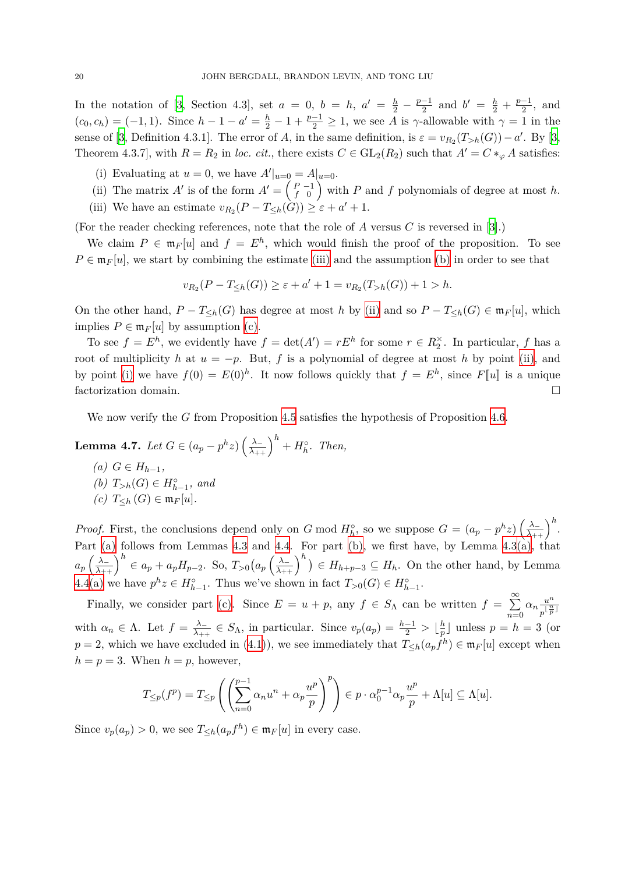In the notation of [\[3,](#page-22-6) Section 4.3], set  $a = 0$ ,  $b = h$ ,  $a' = \frac{h}{2} - \frac{p-1}{2}$  and  $b' = \frac{h}{2} + \frac{p-1}{2}$ , and  $(c_0, c_h) = (-1, 1)$ . Since  $h - 1 - a' = \frac{h}{2} - 1 + \frac{p-1}{2} \ge 1$ , we see A is  $\gamma$ -allowable with  $\gamma = 1$  in the sense of [[3](#page-22-6), Definition 4.3.1]. The error of *A*, in the same definition, is  $\varepsilon = v_{R_2}(T_{>h}(G)) - a'$ . By [[3,](#page-22-6) Theorem 4.3.7], with  $R = R_2$  in *loc. cit.*, there exists  $C \in GL_2(R_2)$  such that  $A' = C *_{\varphi} A$  satisfies:

- <span id="page-20-2"></span>(i) Evaluating at  $u = 0$ , we have  $A'|_{u=0} = A|_{u=0}$ .
- <span id="page-20-1"></span>(ii) The matrix *A'* is of the form  $A' = \begin{pmatrix} P & -1 \\ f & 0 \end{pmatrix}$  with *P* and *f* polynomials of degree at most *h*.
- <span id="page-20-0"></span>(iii) We have an estimate  $v_{R_2}(P - T_{\leq h}(G)) \geq \varepsilon + a' + 1$ .

(For the reader checking references, note that the role of *A* versus *C* is reversed in [[3](#page-22-6)].)

We claim  $P \in \mathfrak{m}_F[u]$  and  $f = E^h$ , which would finish the proof of the proposition. To see  $P \in \mathfrak{m}_F[u]$ , we start by combining the estimate [\(iii\)](#page-20-0) and the assumption [\(b\)](#page-19-3) in order to see that

$$
v_{R_2}(P - T_{\leq h}(G)) \geq \varepsilon + a' + 1 = v_{R_2}(T_{>h}(G)) + 1 > h.
$$

On the other hand,  $P - T_{\leq h}(G)$  has degree at most *h* by [\(ii\)](#page-20-1) and so  $P - T_{\leq h}(G) \in \mathfrak{m}_F[u]$ , which implies  $P \in \mathfrak{m}_F[u]$  by assumption [\(c\)](#page-19-4).

To see  $f = E^h$ , we evidently have  $f = det(A') = rE^h$  for some  $r \in R_2^{\times}$ . In particular, f has a root of multiplicity *h* at  $u = -p$ . But, *f* is a polynomial of degree at most *h* by point [\(ii\),](#page-20-1) and by point [\(i\)](#page-20-2) we have  $f(0) = E(0)^h$ . It now follows quickly that  $f = E^h$ , since  $F[\![u]\!]$  is a unique factorization domain.  $\Box$ 

We now verify the *G* from Proposition [4.5](#page-18-5) satisfies the hypothesis of Proposition [4.6.](#page-19-5)

<span id="page-20-6"></span><span id="page-20-3"></span>**Lemma 4.7.** *Let*  $G \in (a_p - p^h z) \left(\frac{\lambda_-}{\lambda_{++}}\right)^h + H_h^{\circ}$ . *Then, (a)*  $G ∈ H_{h-1}$ *, (b)*  $T_{>h}(G) \in H_{h-1}^{\circ}$ *, and* 

<span id="page-20-5"></span><span id="page-20-4"></span>*(c)*  $T <sup>F</sup>(G)$  ∈  $m<sup>F</sup>[u]$ .

*Proof.* First, the conclusions depend only on *G* mod  $H_h^{\circ}$ , so we suppose  $G = (a_p - p^h z) \left(\frac{\lambda_-}{\lambda_{++}}\right)^h$ . Part [\(a\)](#page-20-3) follows from Lemmas [4.3](#page-17-5) and [4.4](#page-17-0). For part [\(b\),](#page-20-4) we first have, by Lemma [4.3](#page-17-5)[\(a\)](#page-17-6), that  $a_p \left(\frac{\lambda_-}{\lambda_{++}}\right)^h \in a_p + a_p H_{p-2}$ . So,  $T_{>0} \left(a_p \left(\frac{\lambda_-}{\lambda_{++}}\right)^h\right) \in H_{h+p-3} \subseteq H_h$ . On the other hand, by Lemma [4.4](#page-17-0)[\(a\)](#page-18-0) we have  $p^h z \in H_{h-1}^{\circ}$ . Thus we've shown in fact  $T_{>0}(G) \in H_{h-1}^{\circ}$ .

Finally, we consider part [\(c\)](#page-20-5). Since  $E = u + p$ , any  $f \in S_\Lambda$  can be written  $f = \sum_{n=1}^\infty$ *n*=0  $\alpha_n \frac{u^n}{\sqrt{n}}$  $\frac{n}{p}$ <sup> $\frac{n}{p}$ </sup> with  $\alpha_n \in \Lambda$ . Let  $f = \frac{\lambda_-}{\lambda_{++}} \in S_\Lambda$ , in particular. Since  $v_p(a_p) = \frac{h-1}{2} > \lfloor \frac{h}{p} \rfloor$  $\frac{h}{p}$  unless  $p = h = 3$  (or *p* = 2, which we have excluded in ([4.1\)](#page-17-2)), we see immediately that  $T_{\leq h}(a_pf^h) \in \mathfrak{m}_F[u]$  except when  $h = p = 3$ . When  $h = p$ , however,

$$
T_{\leq p}(f^p) = T_{\leq p} \left( \left( \sum_{n=0}^{p-1} \alpha_n u^n + \alpha_p \frac{u^p}{p} \right)^p \right) \in p \cdot \alpha_0^{p-1} \alpha_p \frac{u^p}{p} + \Lambda[u] \subseteq \Lambda[u].
$$

Since  $v_p(a_p) > 0$ , we see  $T_{\leq h}(a_p f^h) \in \mathfrak{m}_F[u]$  in every case.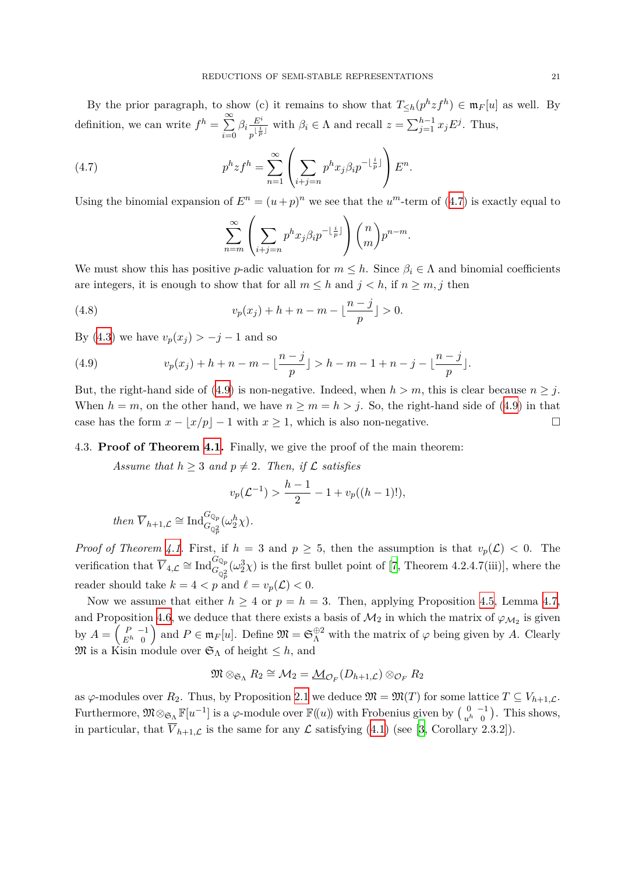By the prior paragraph, to show (c) it remains to show that  $T_{\leq h}(p^h z f^h) \in \mathfrak{m}_F[u]$  as well. By definition, we can write  $f^h = \sum_{n=1}^{\infty}$ *i*=0  $\beta_i \frac{E^i}{\mid \frac{i}{i}\mid}$  $\frac{E^i}{p^{\lfloor \frac{i}{p} \rfloor}}$  with  $\beta_i \in \Lambda$  and recall  $z = \sum_{j=1}^{h-1} x_j E^j$ . Thus,

(4.7) 
$$
p^h z f^h = \sum_{n=1}^{\infty} \left( \sum_{i+j=n} p^h x_j \beta_i p^{-\lfloor \frac{i}{p} \rfloor} \right) E^n.
$$

Using the binomial expansion of  $E^n = (u+p)^n$  we see that the  $u^m$ -term of ([4.7\)](#page-21-0) is exactly equal to

<span id="page-21-0"></span>
$$
\sum_{n=m}^{\infty} \left( \sum_{i+j=n} p^h x_j \beta_i p^{-\lfloor \frac{i}{p} \rfloor} \right) {n \choose m} p^{n-m}.
$$

We must show this has positive *p*-adic valuation for  $m \leq h$ . Since  $\beta_i \in \Lambda$  and binomial coefficients are integers, it is enough to show that for all  $m \leq h$  and  $j < h$ , if  $n \geq m, j$  then

(4.8) 
$$
v_p(x_j) + h + n - m - \lfloor \frac{n-j}{p} \rfloor > 0.
$$

By [\(4.3](#page-17-3)) we have  $v_p(x_j) > -j - 1$  and so

<span id="page-21-1"></span>(4.9) 
$$
v_p(x_j) + h + n - m - \lfloor \frac{n-j}{p} \rfloor > h - m - 1 + n - j - \lfloor \frac{n-j}{p} \rfloor.
$$

But, the right-hand side of ([4.9\)](#page-21-1) is non-negative. Indeed, when  $h > m$ , this is clear because  $n \geq j$ . When  $h = m$ , on the other hand, we have  $n \ge m = h > j$ . So, the right-hand side of [\(4.9](#page-21-1)) in that case has the form  $x - \lfloor x/p \rfloor - 1$  with  $x \ge 1$ , which is also non-negative. □

#### 4.3. **Proof of Theorem [4.1.](#page-16-1)** Finally, we give the proof of the main theorem:

*Assume that*  $h \geq 3$  *and*  $p \neq 2$ *. Then, if*  $\mathcal{L}$  *satisfies* 

$$
v_p(\mathcal{L}^{-1}) > \frac{h-1}{2} - 1 + v_p((h-1)!),
$$

$$
then \ \overline{V}_{h+1,\mathcal{L}} \cong \text{Ind}_{G_{\mathbb{Q}_p^2}}^{G_{\mathbb{Q}_p}}(\omega_2^h \chi).
$$

*Proof of Theorem [4.1.](#page-16-1)* First, if  $h = 3$  and  $p \geq 5$ , then the assumption is that  $v_p(\mathcal{L}) < 0$ . The verification that  $\overline{V}_{4,\mathcal{L}} \cong \text{Ind}_{G_{\mathbb{Q}_p^2}}^{G_{\mathbb{Q}_p}}(\omega_2^3 \chi)$  is the first bullet point of [\[7,](#page-22-1) Theorem 4.2.4.7(iii)], where the reader should take  $k = 4 < p$  and  $\ell = v_p(\mathcal{L}) < 0$ .

Now we assume that either  $h \geq 4$  or  $p = h = 3$ . Then, applying Proposition [4.5](#page-18-5), Lemma [4.7,](#page-20-6) and Proposition [4.6](#page-19-5), we deduce that there exists a basis of  $\mathcal{M}_2$  in which the matrix of  $\varphi_{\mathcal{M}_2}$  is given by  $A = \begin{pmatrix} P & -1 \\ E^h & 0 \end{pmatrix}$  and  $P \in \mathfrak{m}_F[u]$ . Define  $\mathfrak{M} = \mathfrak{S}_{\Lambda}^{\oplus 2}$  with the matrix of  $\varphi$  being given by *A*. Clearly  $\mathfrak{M}$  is a Kisin module over  $\mathfrak{S}_{\Lambda}$  of height  $\leq h$ , and

$$
\mathfrak{M} \otimes_{\mathfrak{S}_{\Lambda}} R_2 \cong \mathcal{M}_2 = \underline{\mathcal{M}}_{\mathcal{O}_F}(D_{h+1,\mathcal{L}}) \otimes_{\mathcal{O}_F} R_2
$$

as  $\varphi$ -modules over  $R_2$ . Thus, by Proposition [2.1](#page-7-2) we deduce  $\mathfrak{M} = \mathfrak{M}(T)$  for some lattice  $T \subseteq V_{h+1,\mathcal{L}}$ . Furthermore,  $\mathfrak{M} \otimes_{\mathfrak{S}_{\Lambda}} \mathbb{F}[u^{-1}]$  is a  $\varphi$ -module over  $\mathbb{F}((u))$  with Frobenius given by  $\begin{pmatrix} 0 & -1 \\ u^h & 0 \end{pmatrix}$ . This shows, in particular, that  $\overline{V}_{h+1,\mathcal{L}}$  is the same for any  $\mathcal L$  satisfying ([4.1\)](#page-17-2) (see [[3](#page-22-6), Corollary 2.3.2]).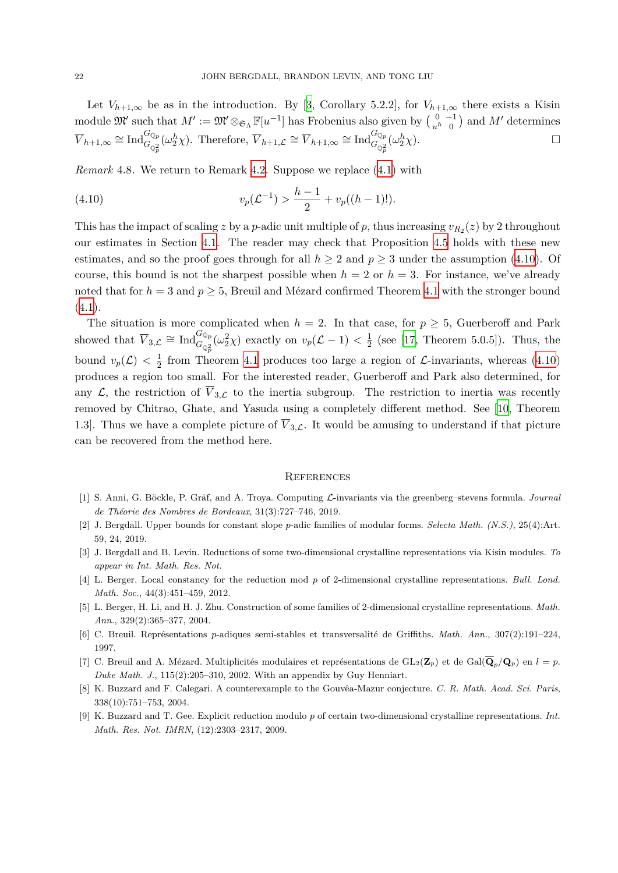Let  $V_{h+1,\infty}$  be as in the introduction. By [\[3](#page-22-6), Corollary 5.2.2], for  $V_{h+1,\infty}$  there exists a Kisin module  $\mathfrak{M}'$  such that  $M' := \mathfrak{M}' \otimes_{\mathfrak{S}_\Lambda} \mathbb{F}[u^{-1}]$  has Frobenius also given by  $\begin{pmatrix} 0 & -1 \\ u^h & 0 \end{pmatrix}$  and  $M'$  determines  $\overline{V}_{h+1,\infty} \cong \text{Ind}_{G_{\mathbb{Q}_p^2}}^{G_{\mathbb{Q}_p}}(\omega_2^h \chi)$ . Therefore,  $\overline{V}_{h+1,\mathcal{L}} \cong \overline{V}_{h+1,\infty} \cong \text{Ind}_{G_{\mathbb{Q}_p^2}}^{G_{\mathbb{Q}_p}}(\omega_2^h \chi)$ .

<span id="page-22-2"></span>*Remark* 4.8*.* We return to Remark [4.2.](#page-17-1) Suppose we replace ([4.1\)](#page-17-2) with

<span id="page-22-11"></span>(4.10) 
$$
v_p(\mathcal{L}^{-1}) > \frac{h-1}{2} + v_p((h-1)!).
$$

This has the impact of scaling *z* by a *p*-adic unit multiple of *p*, thus increasing  $v_{R_2}(z)$  by 2 throughout our estimates in Section [4.1.](#page-17-7) The reader may check that Proposition [4.5](#page-18-5) holds with these new estimates, and so the proof goes through for all  $h \geq 2$  and  $p \geq 3$  under the assumption [\(4.10\)](#page-22-11). Of course, this bound is not the sharpest possible when  $h = 2$  or  $h = 3$ . For instance, we've already noted that for  $h = 3$  and  $p \ge 5$ , Breuil and Mézard confirmed Theorem [4.1](#page-16-1) with the stronger bound  $(4.1).$  $(4.1).$ 

The situation is more complicated when  $h = 2$ . In that case, for  $p \geq 5$ , Guerberoff and Park showed that  $\overline{V}_{3,\mathcal{L}} \cong \text{Ind}_{G_{\mathbb{Q}_p^2}}^{G_{\mathbb{Q}_p}}(\omega_2^2\chi)$  exactly on  $v_p(\mathcal{L}-1) < \frac{1}{2}$  $\frac{1}{2}$  (see [\[17](#page-23-1), Theorem 5.0.5]). Thus, the bound  $v_p(\mathcal{L}) < \frac{1}{2}$  $\frac{1}{2}$  from Theorem [4.1](#page-16-1) produces too large a region of  $\mathcal{L}$ -invariants, whereas [\(4.10\)](#page-22-11) produces a region too small. For the interested reader, Guerberoff and Park also determined, for any  $\mathcal{L}$ , the restriction of  $\overline{V}_{3,\mathcal{L}}$  to the inertia subgroup. The restriction to inertia was recently removed by Chitrao, Ghate, and Yasuda using a completely different method. See [\[10](#page-23-2), Theorem 1.3. Thus we have a complete picture of  $\overline{V}_{3,\mathcal{L}}$ . It would be amusing to understand if that picture can be recovered from the method here.

#### <span id="page-22-0"></span>**REFERENCES**

- <span id="page-22-8"></span>[1] S. Anni, G. Böckle, P. Gräf, and A. Troya. Computing *L*-invariants via the greenberg–stevens formula. *Journal de Théorie des Nombres de Bordeaux*, 31(3):727–746, 2019.
- <span id="page-22-9"></span>[2] J. Bergdall. Upper bounds for constant slope *p*-adic families of modular forms. *Selecta Math. (N.S.)*, 25(4):Art. 59, 24, 2019.
- <span id="page-22-6"></span>[3] J. Bergdall and B. Levin. Reductions of some two-dimensional crystalline representations via Kisin modules. *To appear in Int. Math. Res. Not.*
- <span id="page-22-5"></span>[4] L. Berger. Local constancy for the reduction mod *p* of 2-dimensional crystalline representations. *Bull. Lond. Math. Soc.*, 44(3):451–459, 2012.
- <span id="page-22-4"></span>[5] L. Berger, H. Li, and H. J. Zhu. Construction of some families of 2-dimensional crystalline representations. *Math. Ann.*, 329(2):365–377, 2004.
- <span id="page-22-7"></span>[6] C. Breuil. Représentations *p*-adiques semi-stables et transversalité de Griffiths. *Math. Ann.*, 307(2):191–224, 1997.
- <span id="page-22-1"></span>[7] C. Breuil and A. Mézard. Multiplicités modulaires et représentations de GL2(**Z***p*) et de Gal(**Q***p/***Q***p*) en *l* = *p*. *Duke Math. J.*, 115(2):205–310, 2002. With an appendix by Guy Henniart.
- <span id="page-22-10"></span>[8] K. Buzzard and F. Calegari. A counterexample to the Gouvêa-Mazur conjecture. *C. R. Math. Acad. Sci. Paris*, 338(10):751–753, 2004.
- <span id="page-22-3"></span>[9] K. Buzzard and T. Gee. Explicit reduction modulo *p* of certain two-dimensional crystalline representations. *Int. Math. Res. Not. IMRN*, (12):2303–2317, 2009.